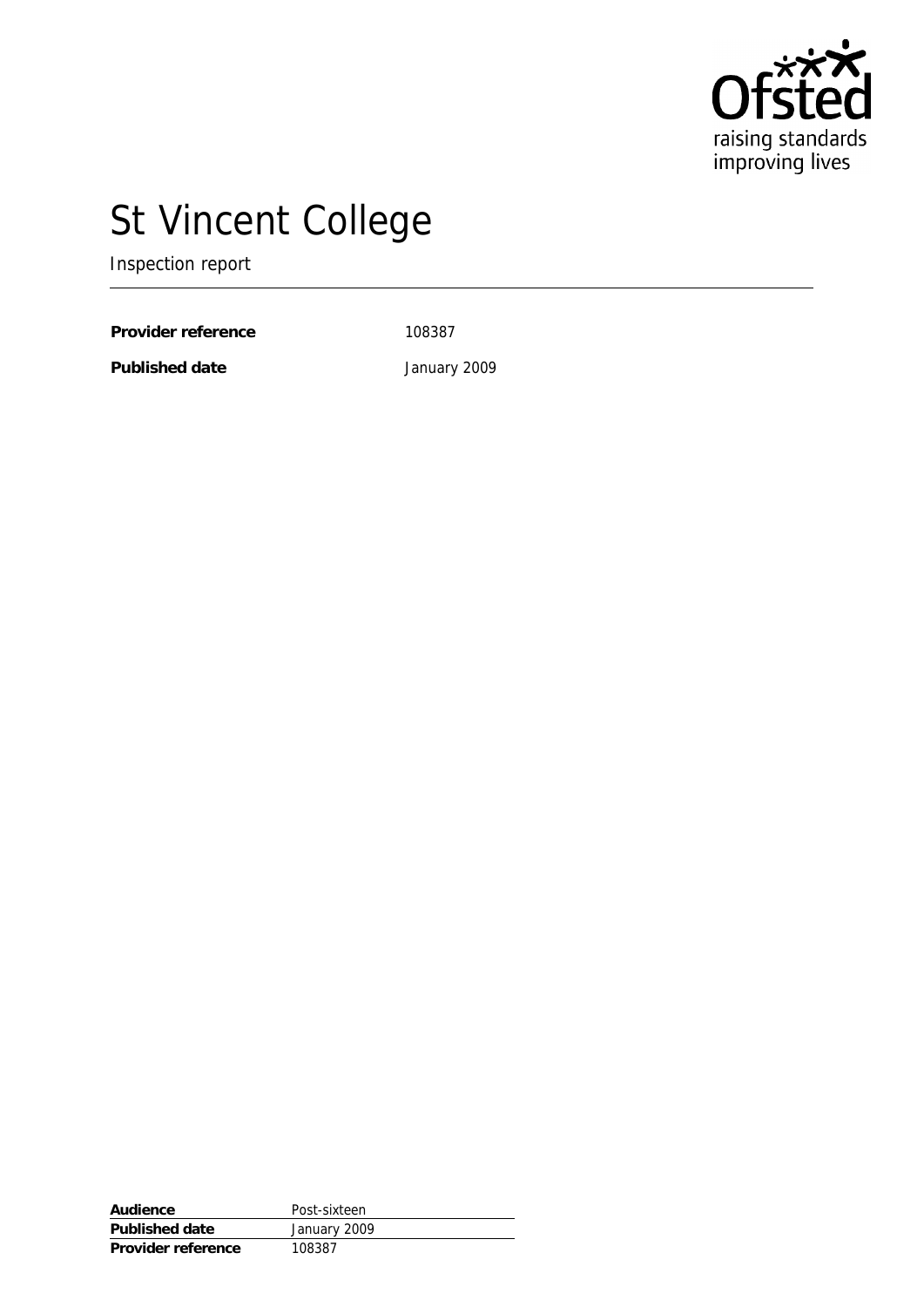

# St Vincent College

Inspection report

Provider reference 108387

**Published date** January 2009

| Audience           | Post-sixteen |
|--------------------|--------------|
| Published date     | January 2009 |
| Provider reference | 108387       |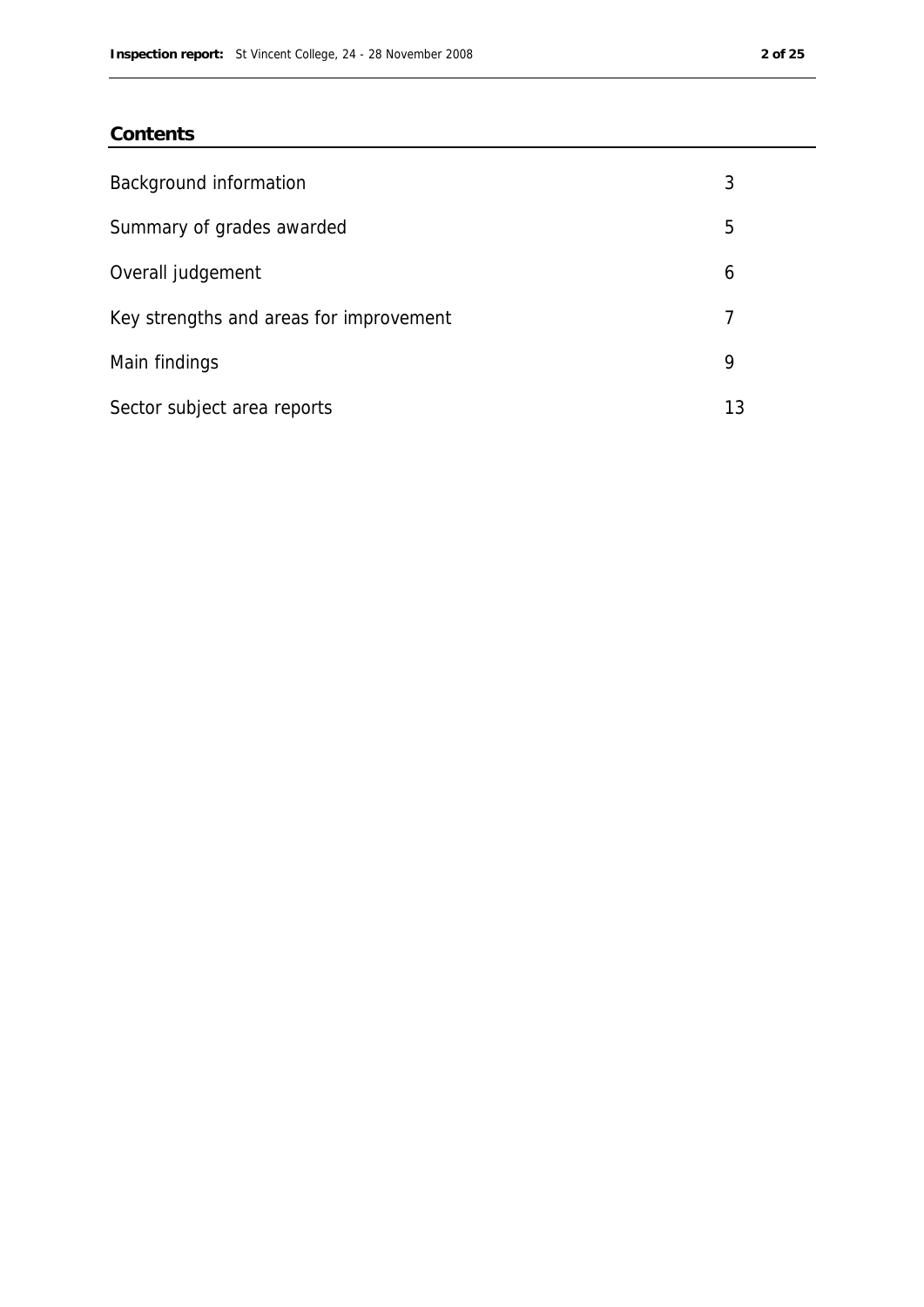### **Contents**

| Background information                  | 3  |
|-----------------------------------------|----|
| Summary of grades awarded               | 5  |
| Overall judgement                       | 6  |
| Key strengths and areas for improvement |    |
| Main findings                           | 9  |
| Sector subject area reports             | 13 |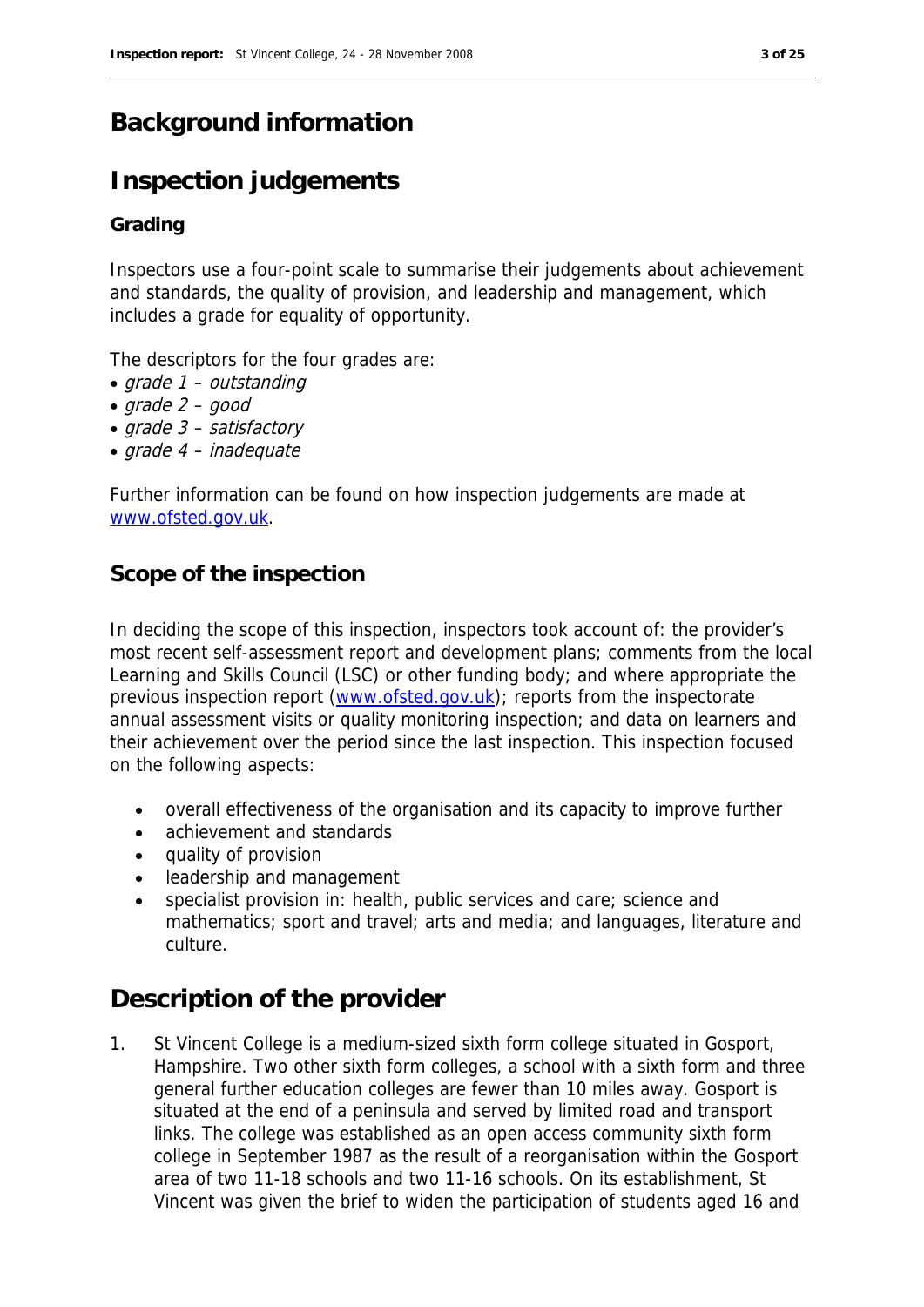# **Background information**

# **Inspection judgements**

#### **Grading**

Inspectors use a four-point scale to summarise their judgements about achievement and standards, the quality of provision, and leadership and management, which includes a grade for equality of opportunity.

The descriptors for the four grades are:

- grade 1 outstanding
- $grade 2 good$
- grade 3 satisfactory
- $\bullet$  arade 4 inadequate

Further information can be found on how inspection judgements are made at www.ofsted.gov.uk.

#### **Scope of the inspection**

In deciding the scope of this inspection, inspectors took account of: the provider's most recent self-assessment report and development plans; comments from the local Learning and Skills Council (LSC) or other funding body; and where appropriate the previous inspection report (www.ofsted.gov.uk); reports from the inspectorate annual assessment visits or quality monitoring inspection; and data on learners and their achievement over the period since the last inspection. This inspection focused on the following aspects:

- overall effectiveness of the organisation and its capacity to improve further
- achievement and standards
- quality of provision
- leadership and management
- specialist provision in: health, public services and care; science and mathematics; sport and travel; arts and media; and languages, literature and culture.

## **Description of the provider**

1. St Vincent College is a medium-sized sixth form college situated in Gosport, Hampshire. Two other sixth form colleges, a school with a sixth form and three general further education colleges are fewer than 10 miles away. Gosport is situated at the end of a peninsula and served by limited road and transport links. The college was established as an open access community sixth form college in September 1987 as the result of a reorganisation within the Gosport area of two 11-18 schools and two 11-16 schools. On its establishment, St Vincent was given the brief to widen the participation of students aged 16 and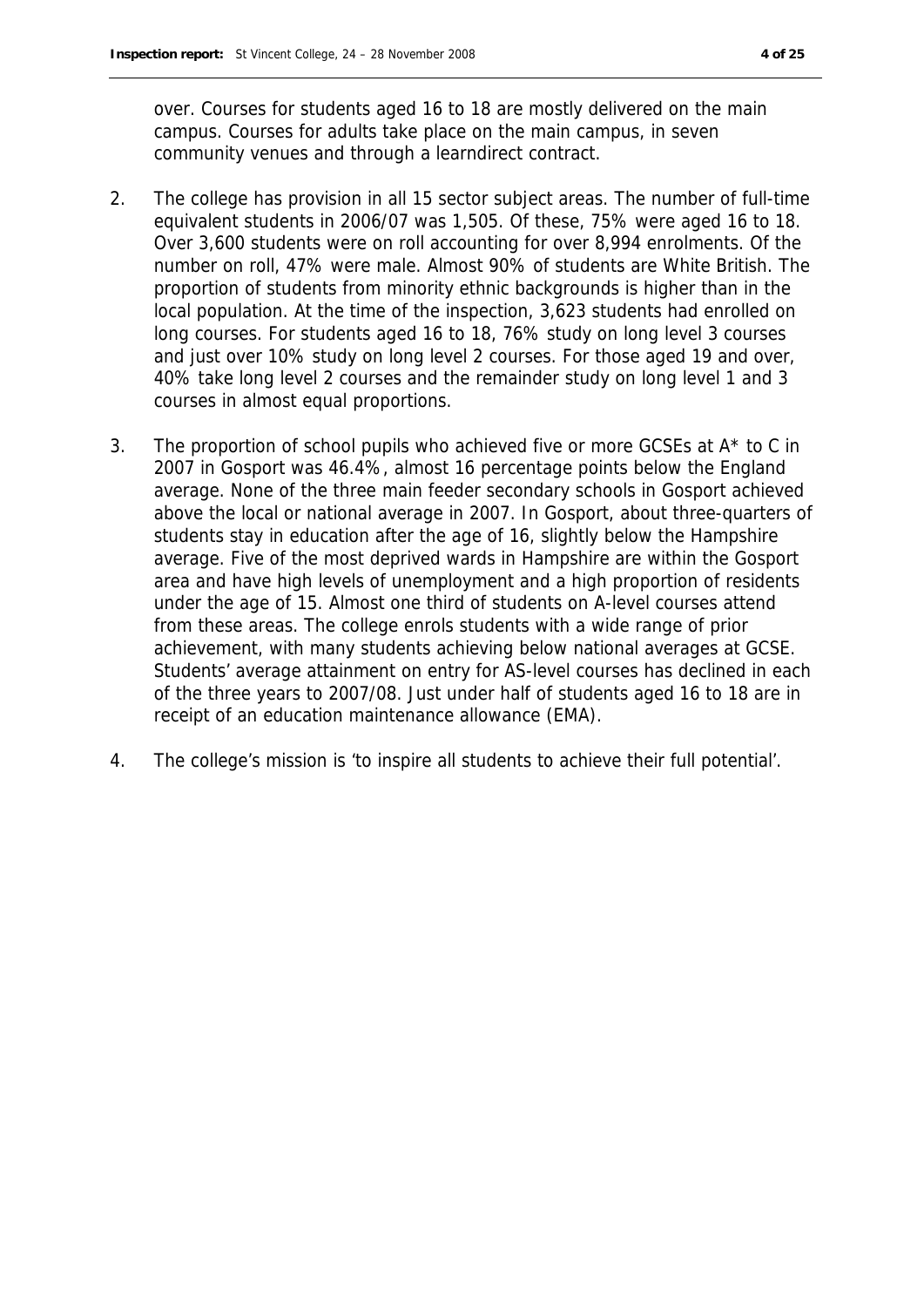over. Courses for students aged 16 to 18 are mostly delivered on the main campus. Courses for adults take place on the main campus, in seven community venues and through a learndirect contract.

- 2. The college has provision in all 15 sector subject areas. The number of full-time equivalent students in 2006/07 was 1,505. Of these, 75% were aged 16 to 18. Over 3,600 students were on roll accounting for over 8,994 enrolments. Of the number on roll, 47% were male. Almost 90% of students are White British. The proportion of students from minority ethnic backgrounds is higher than in the local population. At the time of the inspection, 3,623 students had enrolled on long courses. For students aged 16 to 18, 76% study on long level 3 courses and just over 10% study on long level 2 courses. For those aged 19 and over, 40% take long level 2 courses and the remainder study on long level 1 and 3 courses in almost equal proportions.
- 3. The proportion of school pupils who achieved five or more GCSEs at A\* to C in 2007 in Gosport was 46.4%, almost 16 percentage points below the England average. None of the three main feeder secondary schools in Gosport achieved above the local or national average in 2007. In Gosport, about three-quarters of students stay in education after the age of 16, slightly below the Hampshire average. Five of the most deprived wards in Hampshire are within the Gosport area and have high levels of unemployment and a high proportion of residents under the age of 15. Almost one third of students on A-level courses attend from these areas. The college enrols students with a wide range of prior achievement, with many students achieving below national averages at GCSE. Students' average attainment on entry for AS-level courses has declined in each of the three years to 2007/08. Just under half of students aged 16 to 18 are in receipt of an education maintenance allowance (EMA).
- 4. The college's mission is 'to inspire all students to achieve their full potential'.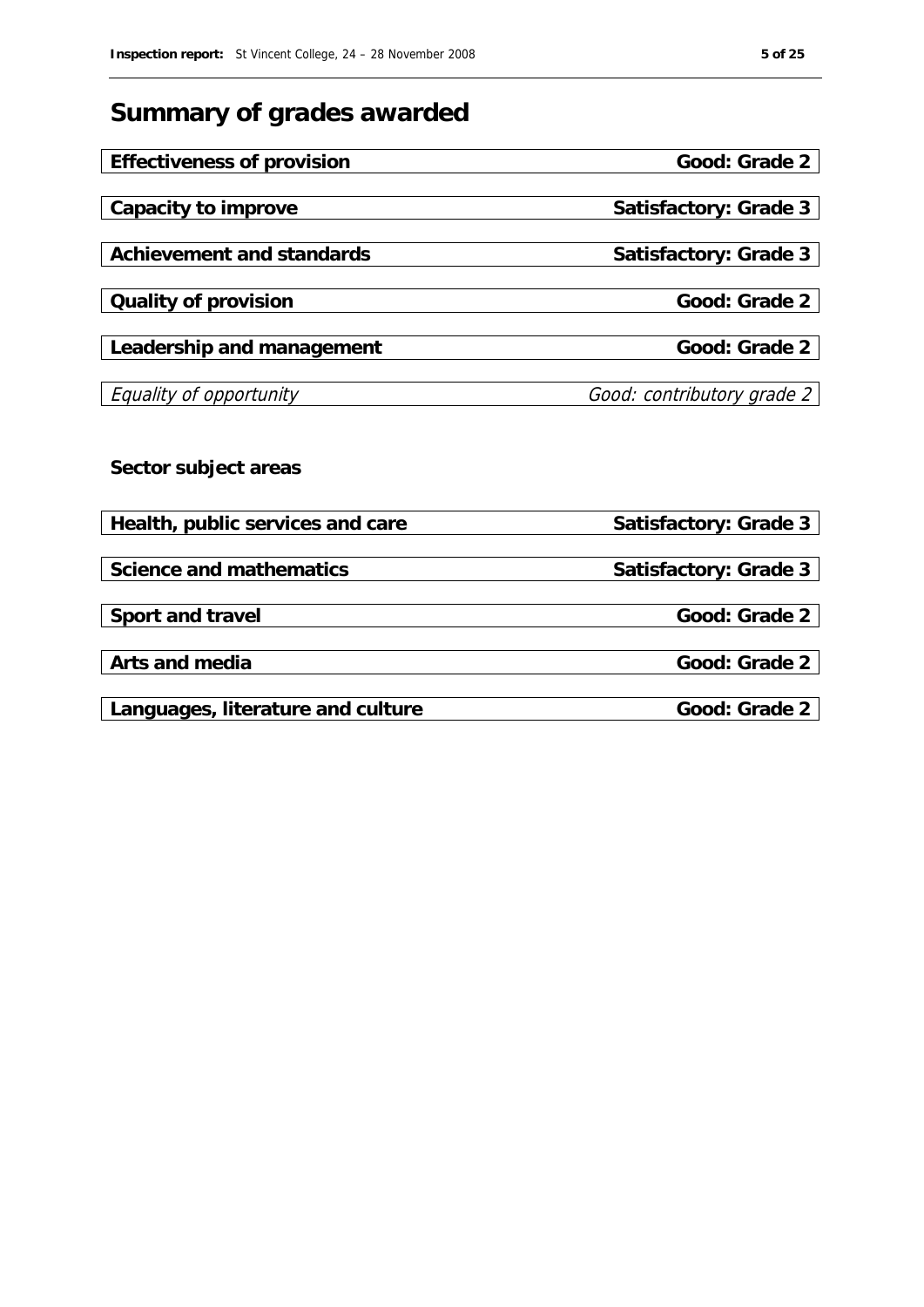# **Summary of grades awarded**

| Effectiveness of provision        | Good: Grade 2              |
|-----------------------------------|----------------------------|
|                                   |                            |
| Capacity to improve               | Satisfactory: Grade 3      |
|                                   |                            |
| Achievement and standards         | Satisfactory: Grade 3      |
|                                   |                            |
| Quality of provision              | Good: Grade 2              |
|                                   |                            |
| Leadership and management         | Good: Grade 2              |
| Equality of opportunity           | Good: contributory grade 2 |
|                                   |                            |
|                                   |                            |
| Sector subject areas              |                            |
|                                   |                            |
| Health, public services and care  | Satisfactory: Grade 3      |
|                                   |                            |
| Science and mathematics           | Satisfactory: Grade 3      |
|                                   |                            |
| Sport and travel                  | Good: Grade 2              |
|                                   |                            |
| Arts and media                    | Good: Grade 2              |
|                                   |                            |
| Languages, literature and culture | Good: Grade 2              |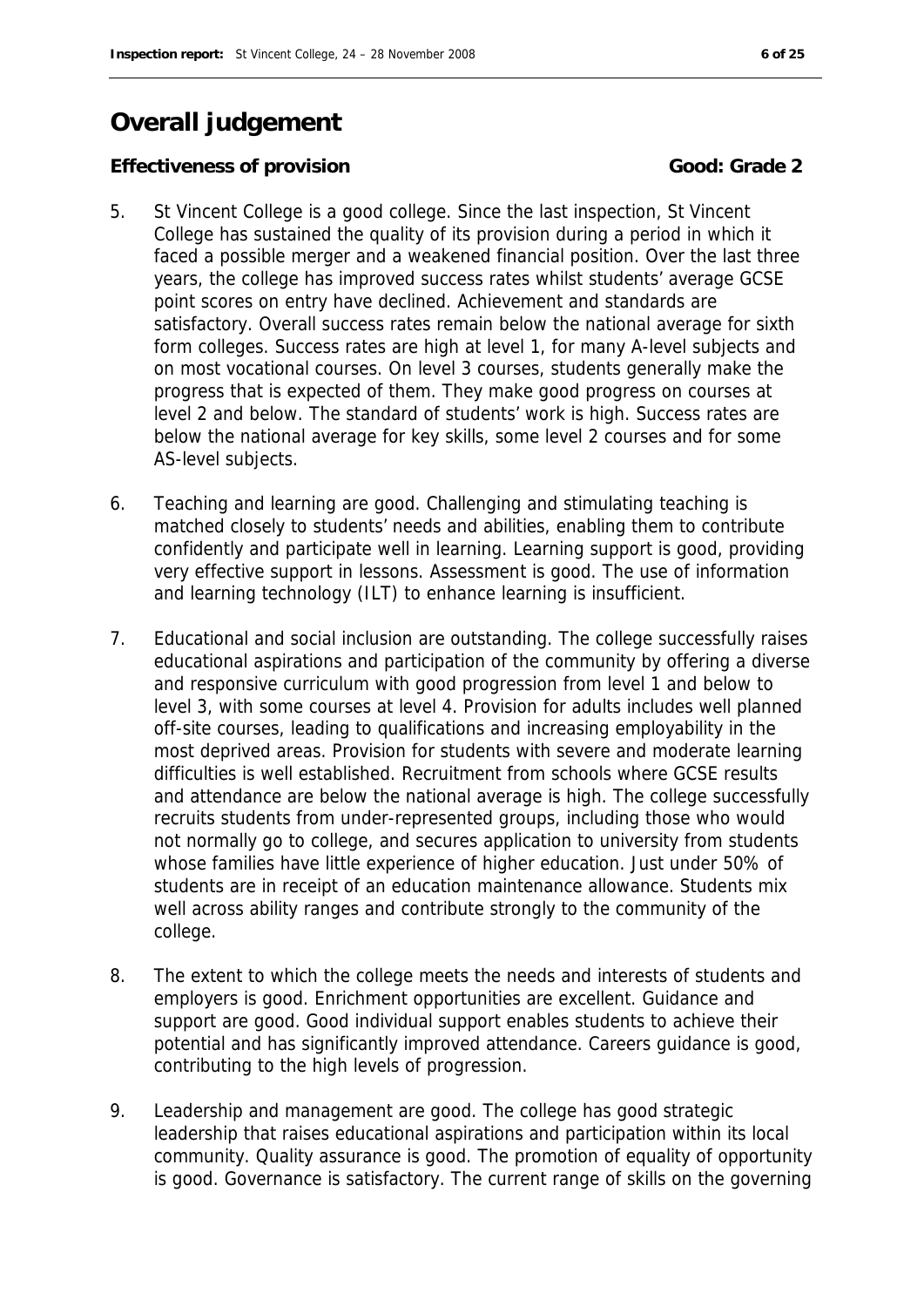# **Overall judgement**

**Effectiveness of provision Good: Grade 2** 

- 5. St Vincent College is a good college. Since the last inspection, St Vincent College has sustained the quality of its provision during a period in which it faced a possible merger and a weakened financial position. Over the last three years, the college has improved success rates whilst students' average GCSE point scores on entry have declined. Achievement and standards are satisfactory. Overall success rates remain below the national average for sixth form colleges. Success rates are high at level 1, for many A-level subjects and on most vocational courses. On level 3 courses, students generally make the progress that is expected of them. They make good progress on courses at level 2 and below. The standard of students' work is high. Success rates are below the national average for key skills, some level 2 courses and for some AS-level subjects.
- 6. Teaching and learning are good. Challenging and stimulating teaching is matched closely to students' needs and abilities, enabling them to contribute confidently and participate well in learning. Learning support is good, providing very effective support in lessons. Assessment is good. The use of information and learning technology (ILT) to enhance learning is insufficient.
- 7. Educational and social inclusion are outstanding. The college successfully raises educational aspirations and participation of the community by offering a diverse and responsive curriculum with good progression from level 1 and below to level 3, with some courses at level 4. Provision for adults includes well planned off-site courses, leading to qualifications and increasing employability in the most deprived areas. Provision for students with severe and moderate learning difficulties is well established. Recruitment from schools where GCSE results and attendance are below the national average is high. The college successfully recruits students from under-represented groups, including those who would not normally go to college, and secures application to university from students whose families have little experience of higher education. Just under 50% of students are in receipt of an education maintenance allowance. Students mix well across ability ranges and contribute strongly to the community of the college.
- 8. The extent to which the college meets the needs and interests of students and employers is good. Enrichment opportunities are excellent. Guidance and support are good. Good individual support enables students to achieve their potential and has significantly improved attendance. Careers guidance is good, contributing to the high levels of progression.
- 9. Leadership and management are good. The college has good strategic leadership that raises educational aspirations and participation within its local community. Quality assurance is good. The promotion of equality of opportunity is good. Governance is satisfactory. The current range of skills on the governing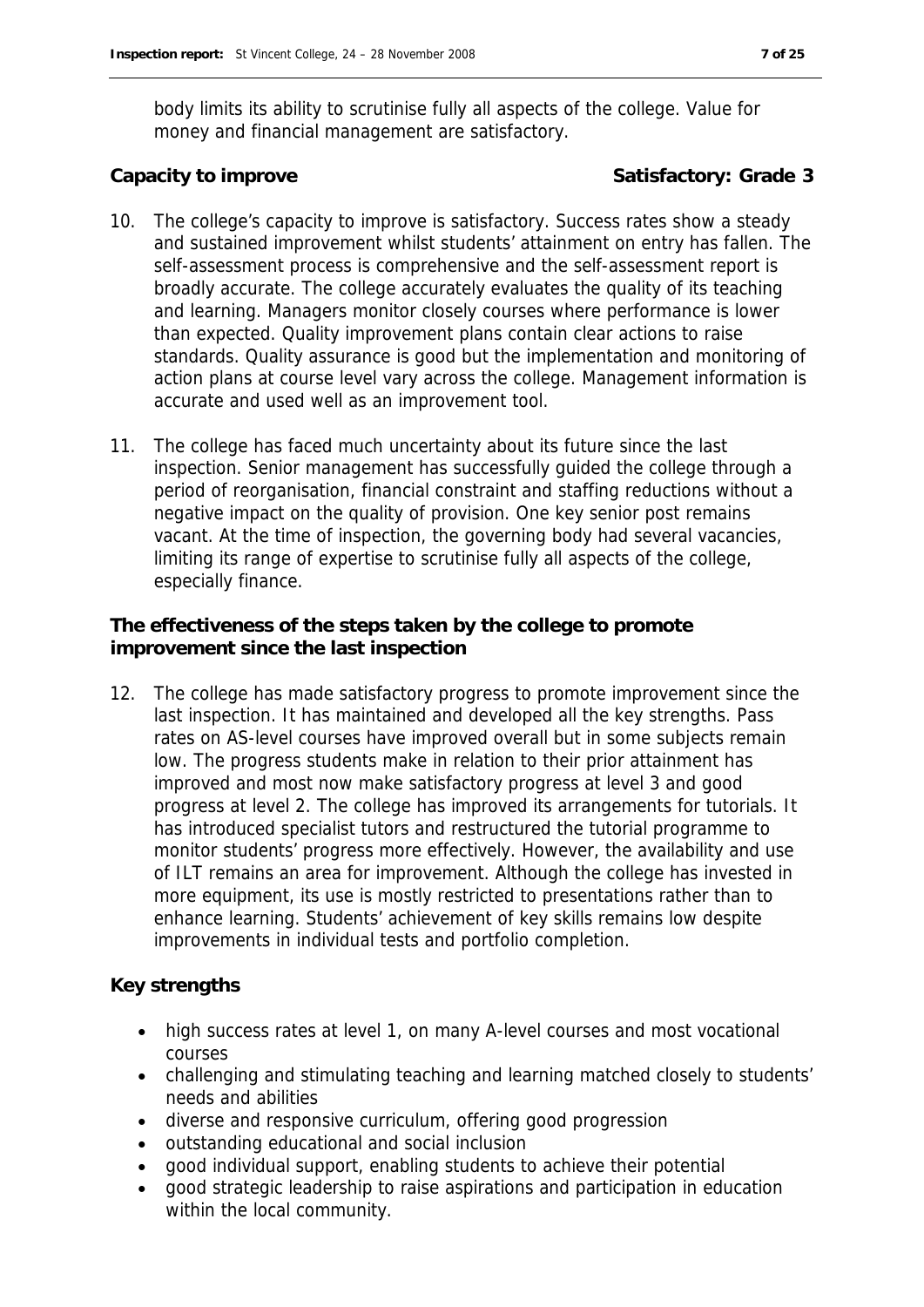body limits its ability to scrutinise fully all aspects of the college. Value for money and financial management are satisfactory.

Capacity to improve **Satisfactory: Grade 3** 

- 10. The college's capacity to improve is satisfactory. Success rates show a steady and sustained improvement whilst students' attainment on entry has fallen. The self-assessment process is comprehensive and the self-assessment report is broadly accurate. The college accurately evaluates the quality of its teaching and learning. Managers monitor closely courses where performance is lower than expected. Quality improvement plans contain clear actions to raise standards. Quality assurance is good but the implementation and monitoring of action plans at course level vary across the college. Management information is accurate and used well as an improvement tool.
- 11. The college has faced much uncertainty about its future since the last inspection. Senior management has successfully guided the college through a period of reorganisation, financial constraint and staffing reductions without a negative impact on the quality of provision. One key senior post remains vacant. At the time of inspection, the governing body had several vacancies, limiting its range of expertise to scrutinise fully all aspects of the college, especially finance.

**The effectiveness of the steps taken by the college to promote improvement since the last inspection**

12. The college has made satisfactory progress to promote improvement since the last inspection. It has maintained and developed all the key strengths. Pass rates on AS-level courses have improved overall but in some subjects remain low. The progress students make in relation to their prior attainment has improved and most now make satisfactory progress at level 3 and good progress at level 2. The college has improved its arrangements for tutorials. It has introduced specialist tutors and restructured the tutorial programme to monitor students' progress more effectively. However, the availability and use of ILT remains an area for improvement. Although the college has invested in more equipment, its use is mostly restricted to presentations rather than to enhance learning. Students' achievement of key skills remains low despite improvements in individual tests and portfolio completion.

**Key strengths**

- high success rates at level 1, on many A-level courses and most vocational courses
- challenging and stimulating teaching and learning matched closely to students' needs and abilities
- diverse and responsive curriculum, offering good progression
- outstanding educational and social inclusion
- good individual support, enabling students to achieve their potential
- good strategic leadership to raise aspirations and participation in education within the local community.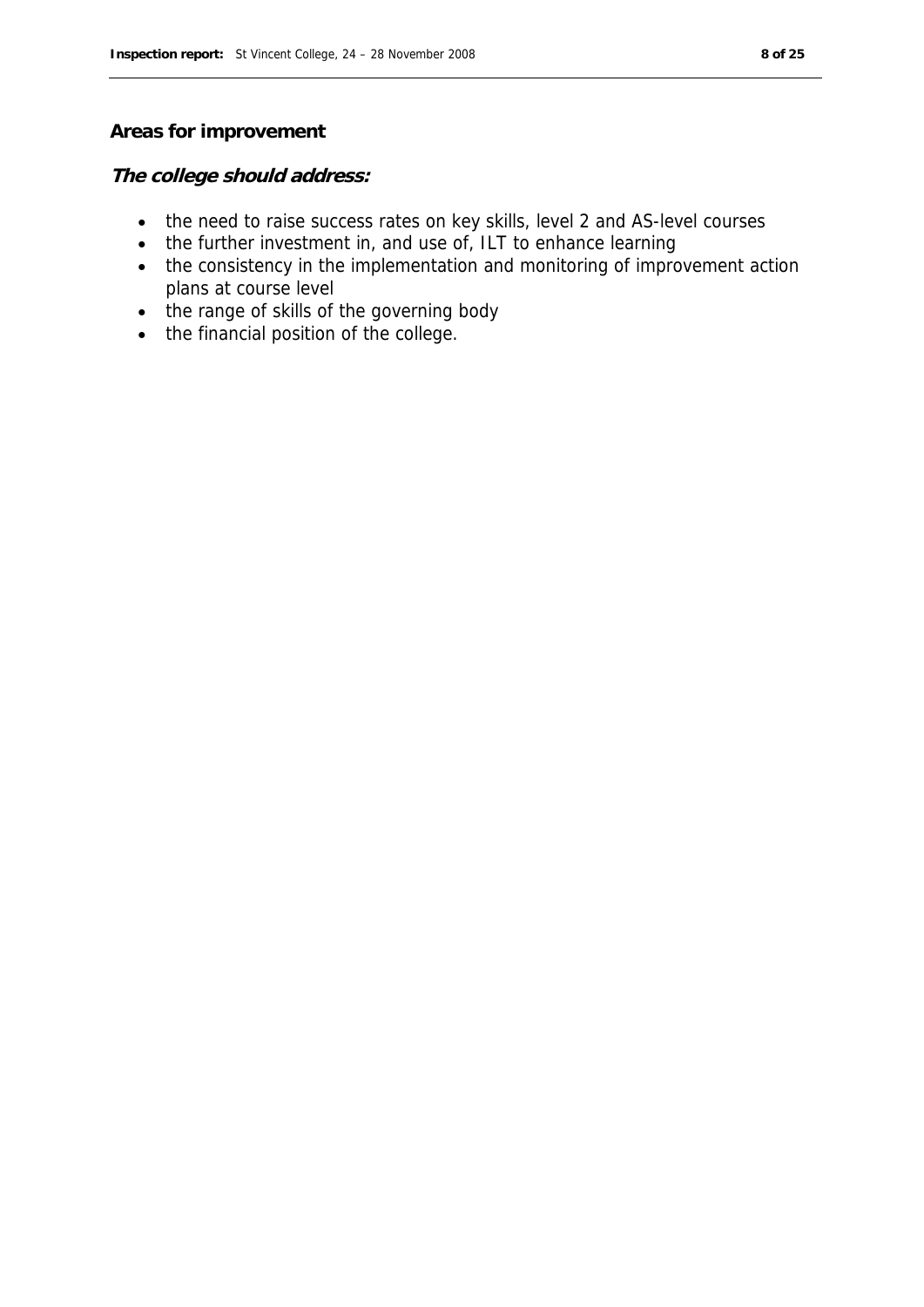#### **Areas for improvement**

#### **The college should address:**

- the need to raise success rates on key skills, level 2 and AS-level courses
- the further investment in, and use of, ILT to enhance learning
- the consistency in the implementation and monitoring of improvement action plans at course level
- the range of skills of the governing body
- the financial position of the college.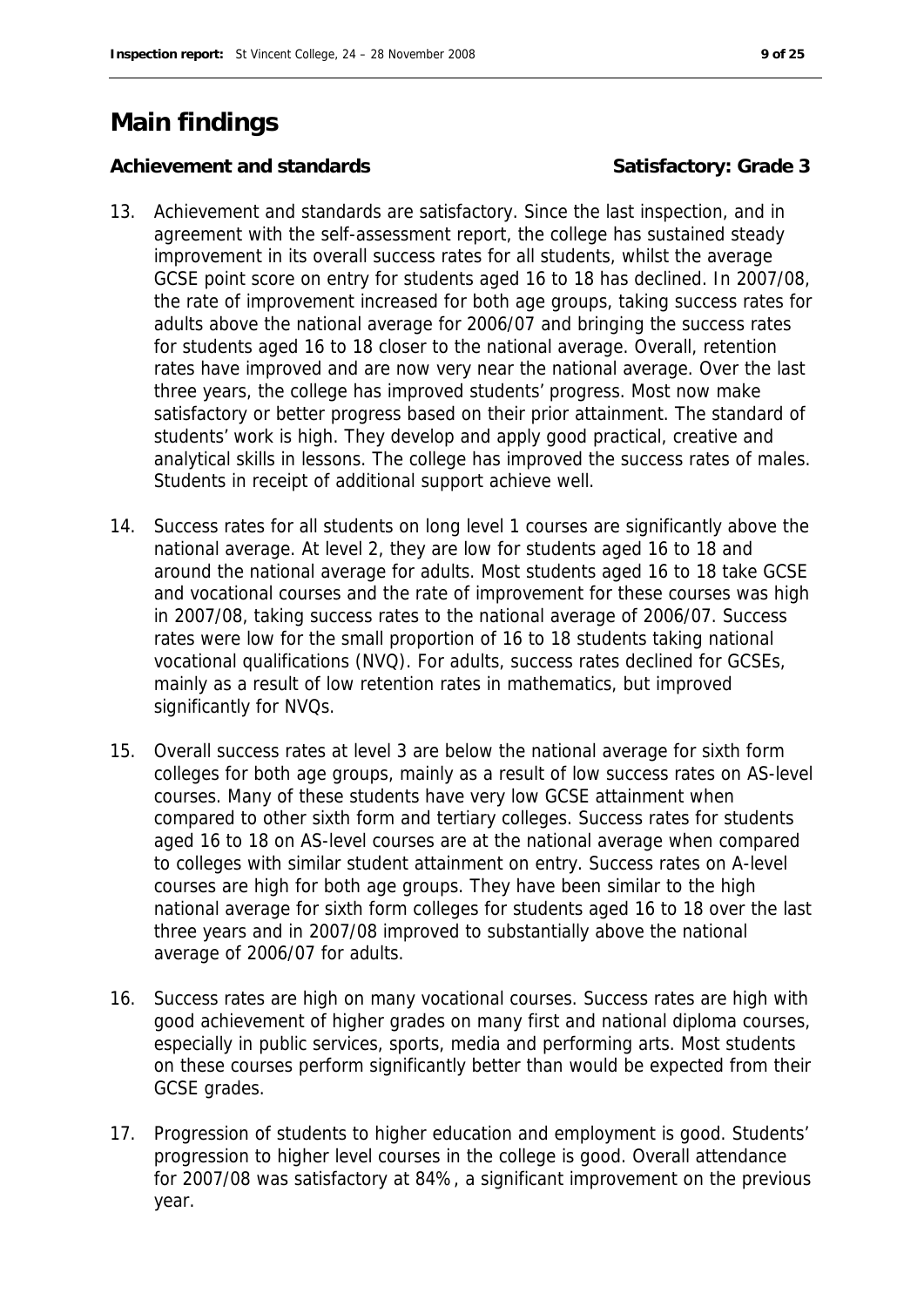# **Main findings**

Achievement and standards **Satisfactory: Grade 3** 

- 13. Achievement and standards are satisfactory. Since the last inspection, and in agreement with the self-assessment report, the college has sustained steady improvement in its overall success rates for all students, whilst the average GCSE point score on entry for students aged 16 to 18 has declined. In 2007/08, the rate of improvement increased for both age groups, taking success rates for adults above the national average for 2006/07 and bringing the success rates for students aged 16 to 18 closer to the national average. Overall, retention rates have improved and are now very near the national average. Over the last three years, the college has improved students' progress. Most now make satisfactory or better progress based on their prior attainment. The standard of students' work is high. They develop and apply good practical, creative and analytical skills in lessons. The college has improved the success rates of males. Students in receipt of additional support achieve well.
- 14. Success rates for all students on long level 1 courses are significantly above the national average. At level 2, they are low for students aged 16 to 18 and around the national average for adults. Most students aged 16 to 18 take GCSE and vocational courses and the rate of improvement for these courses was high in 2007/08, taking success rates to the national average of 2006/07. Success rates were low for the small proportion of 16 to 18 students taking national vocational qualifications (NVQ). For adults, success rates declined for GCSEs, mainly as a result of low retention rates in mathematics, but improved significantly for NVQs.
- 15. Overall success rates at level 3 are below the national average for sixth form colleges for both age groups, mainly as a result of low success rates on AS-level courses. Many of these students have very low GCSE attainment when compared to other sixth form and tertiary colleges. Success rates for students aged 16 to 18 on AS-level courses are at the national average when compared to colleges with similar student attainment on entry. Success rates on A-level courses are high for both age groups. They have been similar to the high national average for sixth form colleges for students aged 16 to 18 over the last three years and in 2007/08 improved to substantially above the national average of 2006/07 for adults.
- 16. Success rates are high on many vocational courses. Success rates are high with good achievement of higher grades on many first and national diploma courses, especially in public services, sports, media and performing arts. Most students on these courses perform significantly better than would be expected from their GCSE grades.
- 17. Progression of students to higher education and employment is good. Students' progression to higher level courses in the college is good. Overall attendance for 2007/08 was satisfactory at 84%, a significant improvement on the previous year.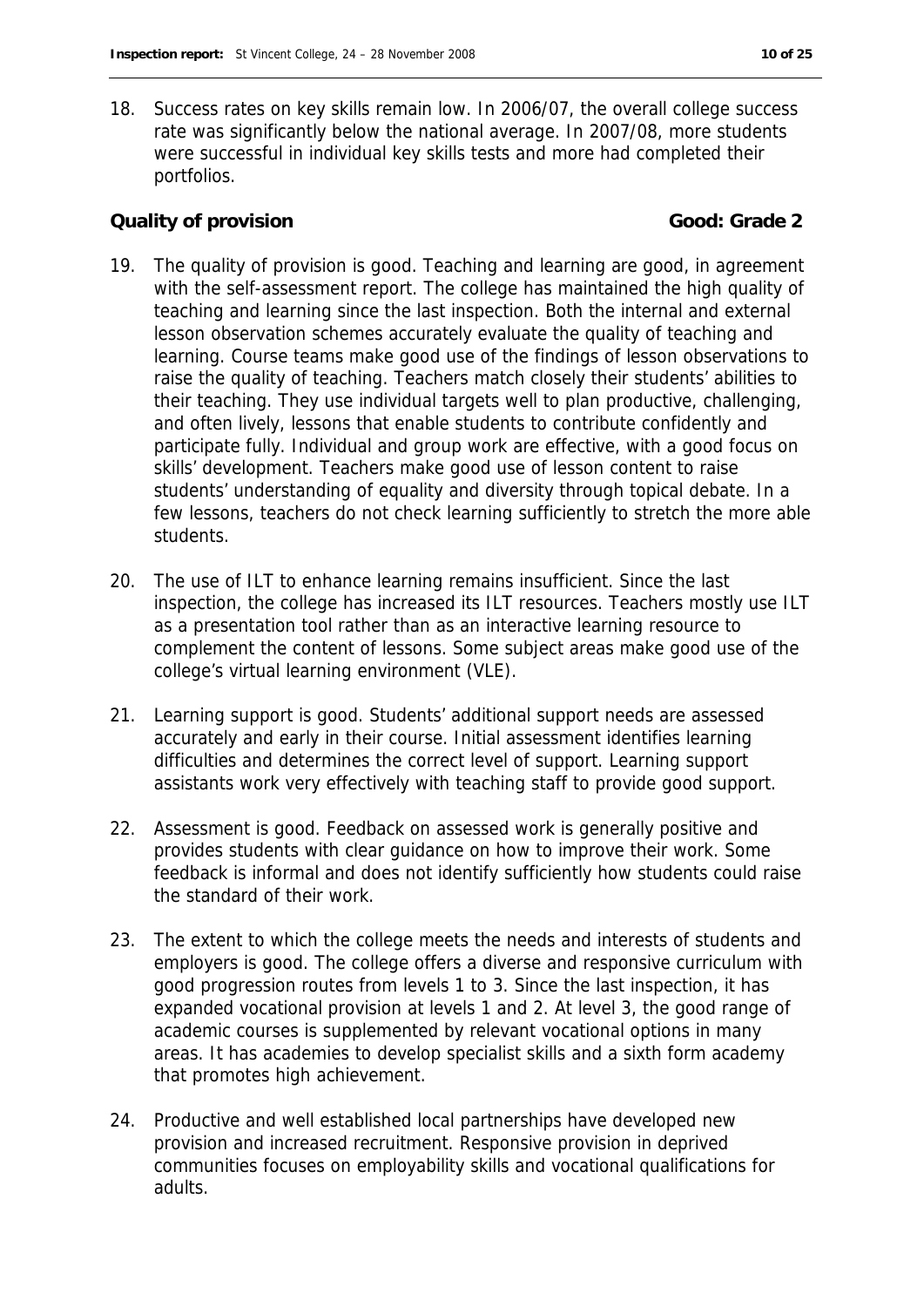- 
- 18. Success rates on key skills remain low. In 2006/07, the overall college success rate was significantly below the national average. In 2007/08, more students were successful in individual key skills tests and more had completed their portfolios.

### **Cauality of provision Good: Grade 2**

- 19. The quality of provision is good. Teaching and learning are good, in agreement with the self-assessment report. The college has maintained the high quality of teaching and learning since the last inspection. Both the internal and external lesson observation schemes accurately evaluate the quality of teaching and learning. Course teams make good use of the findings of lesson observations to raise the quality of teaching. Teachers match closely their students' abilities to their teaching. They use individual targets well to plan productive, challenging, and often lively, lessons that enable students to contribute confidently and participate fully. Individual and group work are effective, with a good focus on skills' development. Teachers make good use of lesson content to raise students' understanding of equality and diversity through topical debate. In a few lessons, teachers do not check learning sufficiently to stretch the more able students.
- 20. The use of ILT to enhance learning remains insufficient. Since the last inspection, the college has increased its ILT resources. Teachers mostly use ILT as a presentation tool rather than as an interactive learning resource to complement the content of lessons. Some subject areas make good use of the college's virtual learning environment (VLE).
- 21. Learning support is good. Students' additional support needs are assessed accurately and early in their course. Initial assessment identifies learning difficulties and determines the correct level of support. Learning support assistants work very effectively with teaching staff to provide good support.
- 22. Assessment is good. Feedback on assessed work is generally positive and provides students with clear guidance on how to improve their work. Some feedback is informal and does not identify sufficiently how students could raise the standard of their work.
- 23. The extent to which the college meets the needs and interests of students and employers is good. The college offers a diverse and responsive curriculum with good progression routes from levels 1 to 3. Since the last inspection, it has expanded vocational provision at levels 1 and 2. At level 3, the good range of academic courses is supplemented by relevant vocational options in many areas. It has academies to develop specialist skills and a sixth form academy that promotes high achievement.
- 24. Productive and well established local partnerships have developed new provision and increased recruitment. Responsive provision in deprived communities focuses on employability skills and vocational qualifications for adults.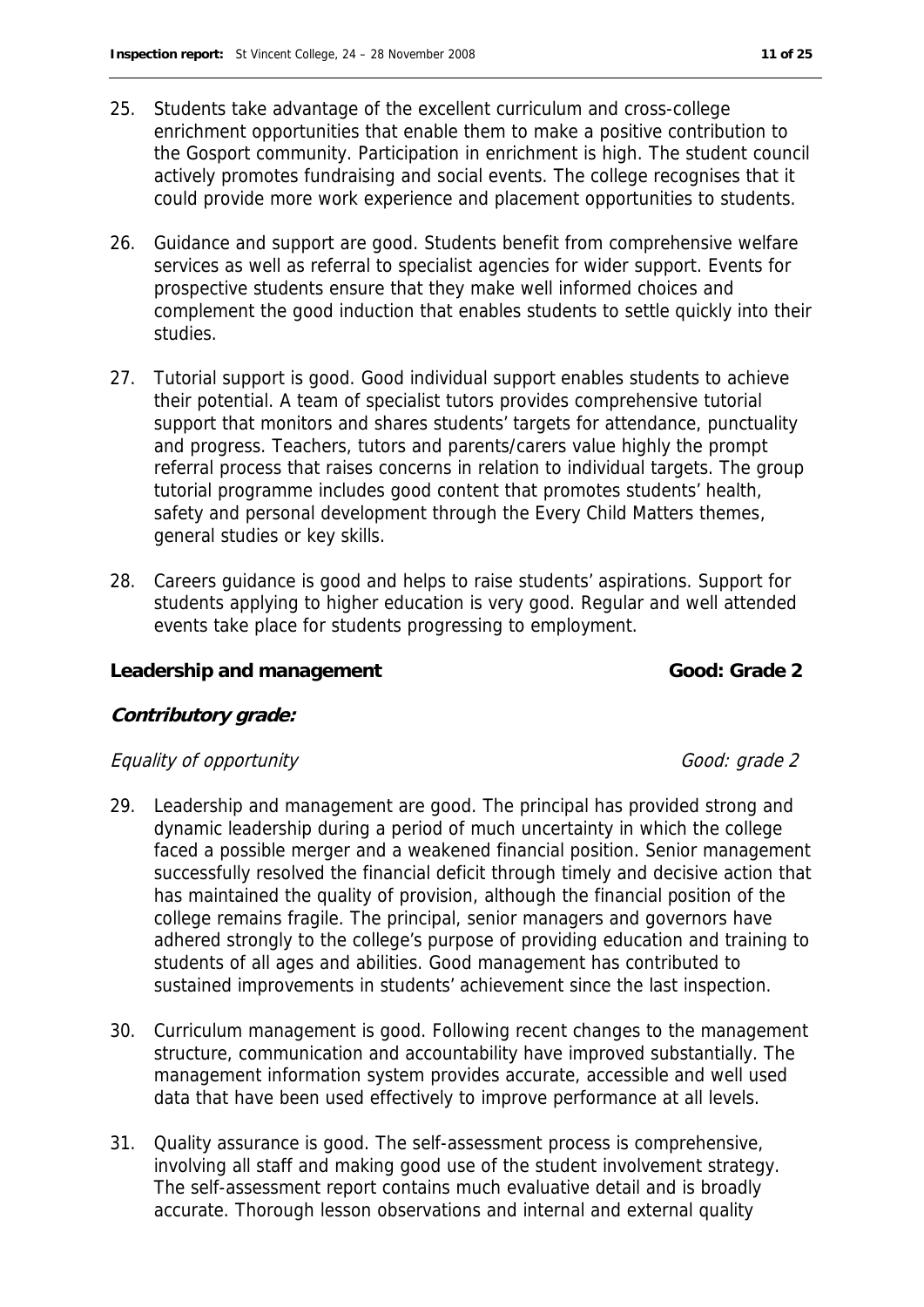- 25. Students take advantage of the excellent curriculum and cross-college enrichment opportunities that enable them to make a positive contribution to the Gosport community. Participation in enrichment is high. The student council actively promotes fundraising and social events. The college recognises that it could provide more work experience and placement opportunities to students.
- 26. Guidance and support are good. Students benefit from comprehensive welfare services as well as referral to specialist agencies for wider support. Events for prospective students ensure that they make well informed choices and complement the good induction that enables students to settle quickly into their studies.
- 27. Tutorial support is good. Good individual support enables students to achieve their potential. A team of specialist tutors provides comprehensive tutorial support that monitors and shares students' targets for attendance, punctuality and progress. Teachers, tutors and parents/carers value highly the prompt referral process that raises concerns in relation to individual targets. The group tutorial programme includes good content that promotes students' health, safety and personal development through the Every Child Matters themes, general studies or key skills.
- 28. Careers guidance is good and helps to raise students' aspirations. Support for students applying to higher education is very good. Regular and well attended events take place for students progressing to employment.

#### Leadership and management **Cool**: Grade 2

#### **Contributory grade:**

#### Equality of opportunity Equality of opportunity

- 29. Leadership and management are good. The principal has provided strong and dynamic leadership during a period of much uncertainty in which the college faced a possible merger and a weakened financial position. Senior management successfully resolved the financial deficit through timely and decisive action that has maintained the quality of provision, although the financial position of the college remains fragile. The principal, senior managers and governors have adhered strongly to the college's purpose of providing education and training to students of all ages and abilities. Good management has contributed to sustained improvements in students' achievement since the last inspection.
- 30. Curriculum management is good. Following recent changes to the management structure, communication and accountability have improved substantially. The management information system provides accurate, accessible and well used data that have been used effectively to improve performance at all levels.
- 31. Quality assurance is good. The self-assessment process is comprehensive, involving all staff and making good use of the student involvement strategy. The self-assessment report contains much evaluative detail and is broadly accurate. Thorough lesson observations and internal and external quality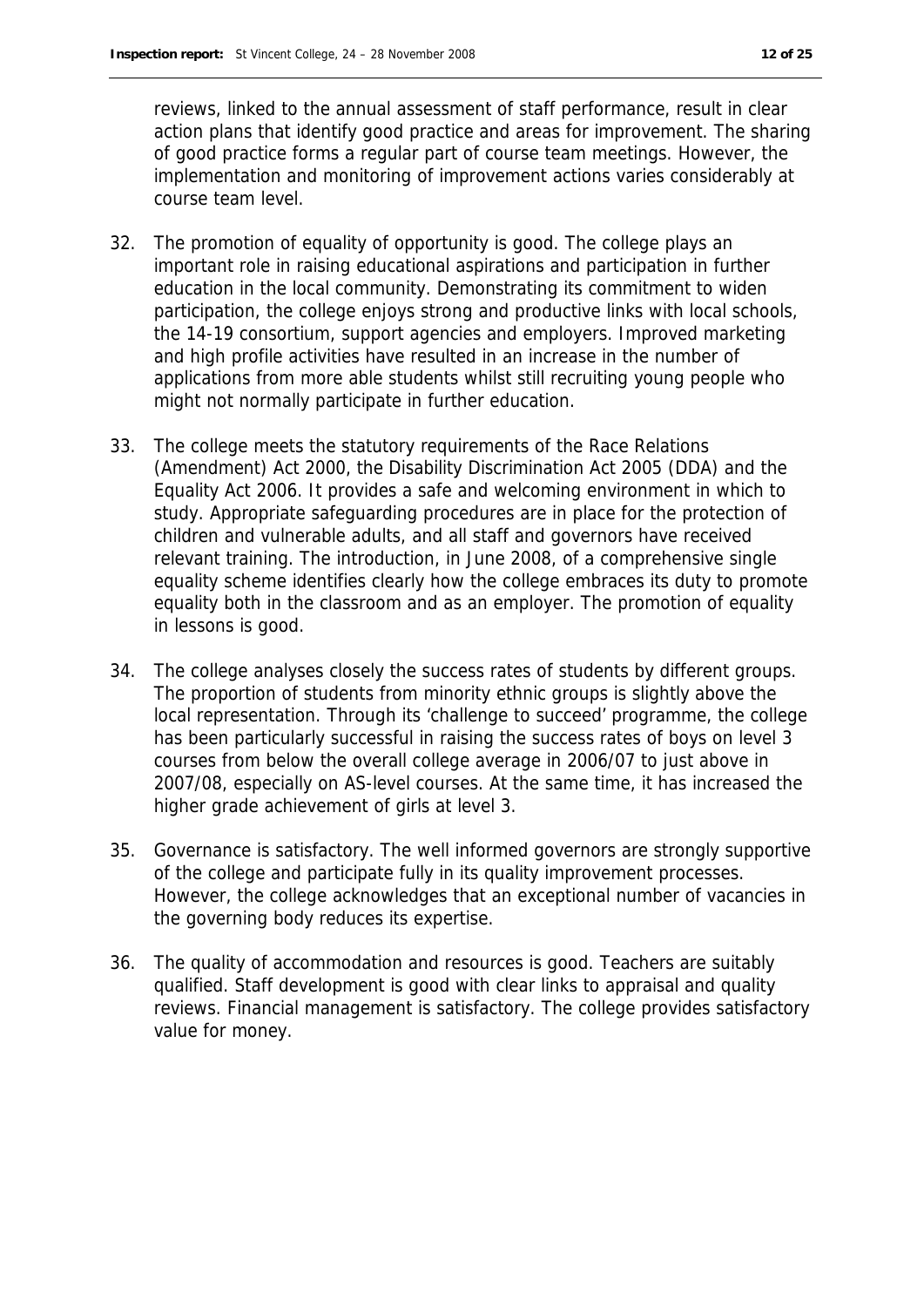reviews, linked to the annual assessment of staff performance, result in clear action plans that identify good practice and areas for improvement. The sharing of good practice forms a regular part of course team meetings. However, the implementation and monitoring of improvement actions varies considerably at course team level.

- 32. The promotion of equality of opportunity is good. The college plays an important role in raising educational aspirations and participation in further education in the local community. Demonstrating its commitment to widen participation, the college enjoys strong and productive links with local schools, the 14-19 consortium, support agencies and employers. Improved marketing and high profile activities have resulted in an increase in the number of applications from more able students whilst still recruiting young people who might not normally participate in further education.
- 33. The college meets the statutory requirements of the Race Relations (Amendment) Act 2000, the Disability Discrimination Act 2005 (DDA) and the Equality Act 2006. It provides a safe and welcoming environment in which to study. Appropriate safeguarding procedures are in place for the protection of children and vulnerable adults, and all staff and governors have received relevant training. The introduction, in June 2008, of a comprehensive single equality scheme identifies clearly how the college embraces its duty to promote equality both in the classroom and as an employer. The promotion of equality in lessons is good.
- 34. The college analyses closely the success rates of students by different groups. The proportion of students from minority ethnic groups is slightly above the local representation. Through its 'challenge to succeed' programme, the college has been particularly successful in raising the success rates of boys on level 3 courses from below the overall college average in 2006/07 to just above in 2007/08, especially on AS-level courses. At the same time, it has increased the higher grade achievement of girls at level 3.
- 35. Governance is satisfactory. The well informed governors are strongly supportive of the college and participate fully in its quality improvement processes. However, the college acknowledges that an exceptional number of vacancies in the governing body reduces its expertise.
- 36. The quality of accommodation and resources is good. Teachers are suitably qualified. Staff development is good with clear links to appraisal and quality reviews. Financial management is satisfactory. The college provides satisfactory value for money.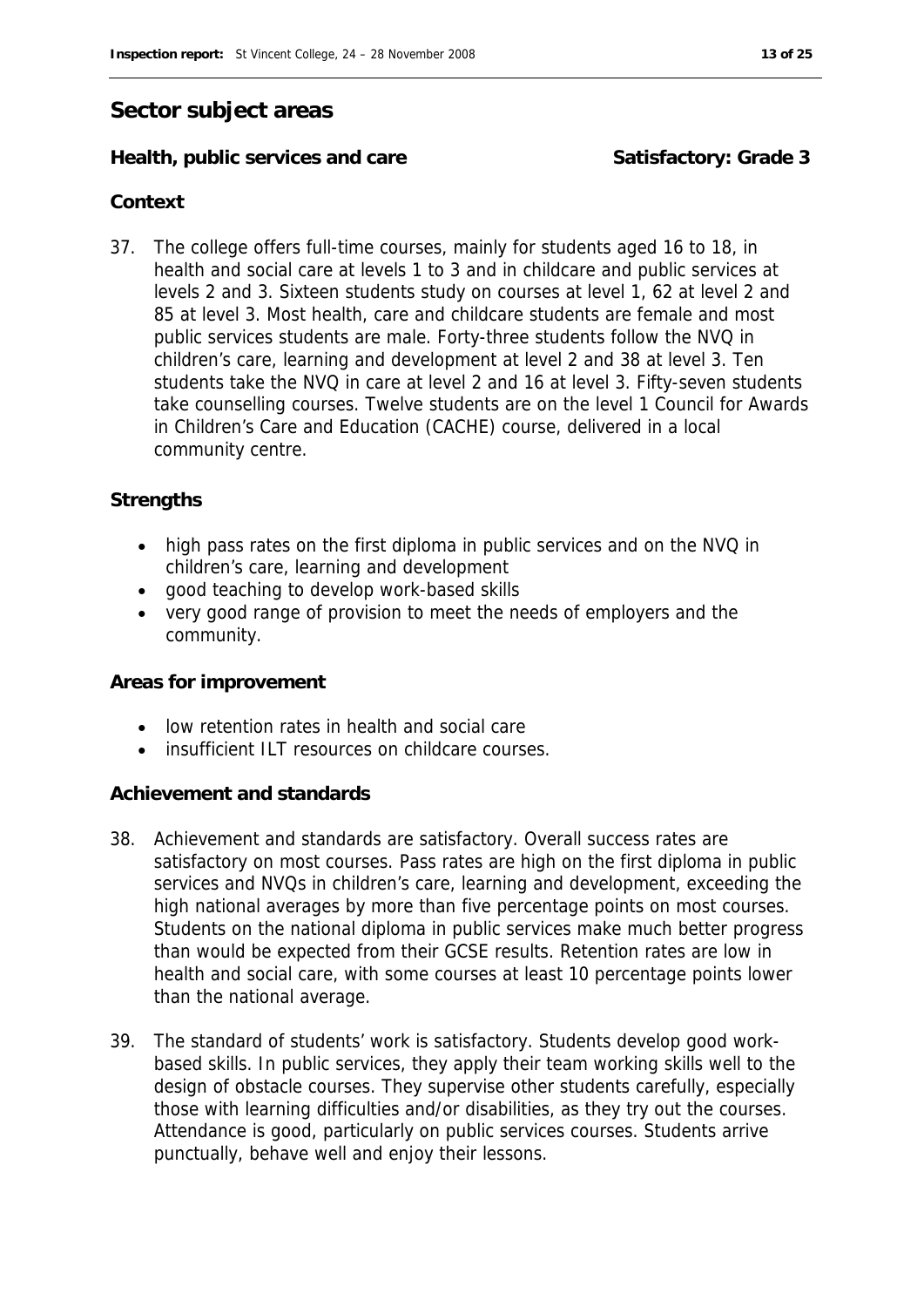#### **Sector subject areas**

#### **Health, public services and care Satisfactory: Grade 3**

#### **Context**

37. The college offers full-time courses, mainly for students aged 16 to 18, in health and social care at levels 1 to 3 and in childcare and public services at levels 2 and 3. Sixteen students study on courses at level 1, 62 at level 2 and 85 at level 3. Most health, care and childcare students are female and most public services students are male. Forty-three students follow the NVQ in children's care, learning and development at level 2 and 38 at level 3. Ten students take the NVQ in care at level 2 and 16 at level 3. Fifty-seven students take counselling courses. Twelve students are on the level 1 Council for Awards in Children's Care and Education (CACHE) course, delivered in a local community centre.

#### **Strengths**

- high pass rates on the first diploma in public services and on the NVQ in children's care, learning and development
- good teaching to develop work-based skills
- very good range of provision to meet the needs of employers and the community.

#### **Areas for improvement**

- low retention rates in health and social care
- insufficient ILT resources on childcare courses.

#### **Achievement and standards**

- 38. Achievement and standards are satisfactory. Overall success rates are satisfactory on most courses. Pass rates are high on the first diploma in public services and NVQs in children's care, learning and development, exceeding the high national averages by more than five percentage points on most courses. Students on the national diploma in public services make much better progress than would be expected from their GCSE results. Retention rates are low in health and social care, with some courses at least 10 percentage points lower than the national average.
- 39. The standard of students' work is satisfactory. Students develop good workbased skills. In public services, they apply their team working skills well to the design of obstacle courses. They supervise other students carefully, especially those with learning difficulties and/or disabilities, as they try out the courses. Attendance is good, particularly on public services courses. Students arrive punctually, behave well and enjoy their lessons.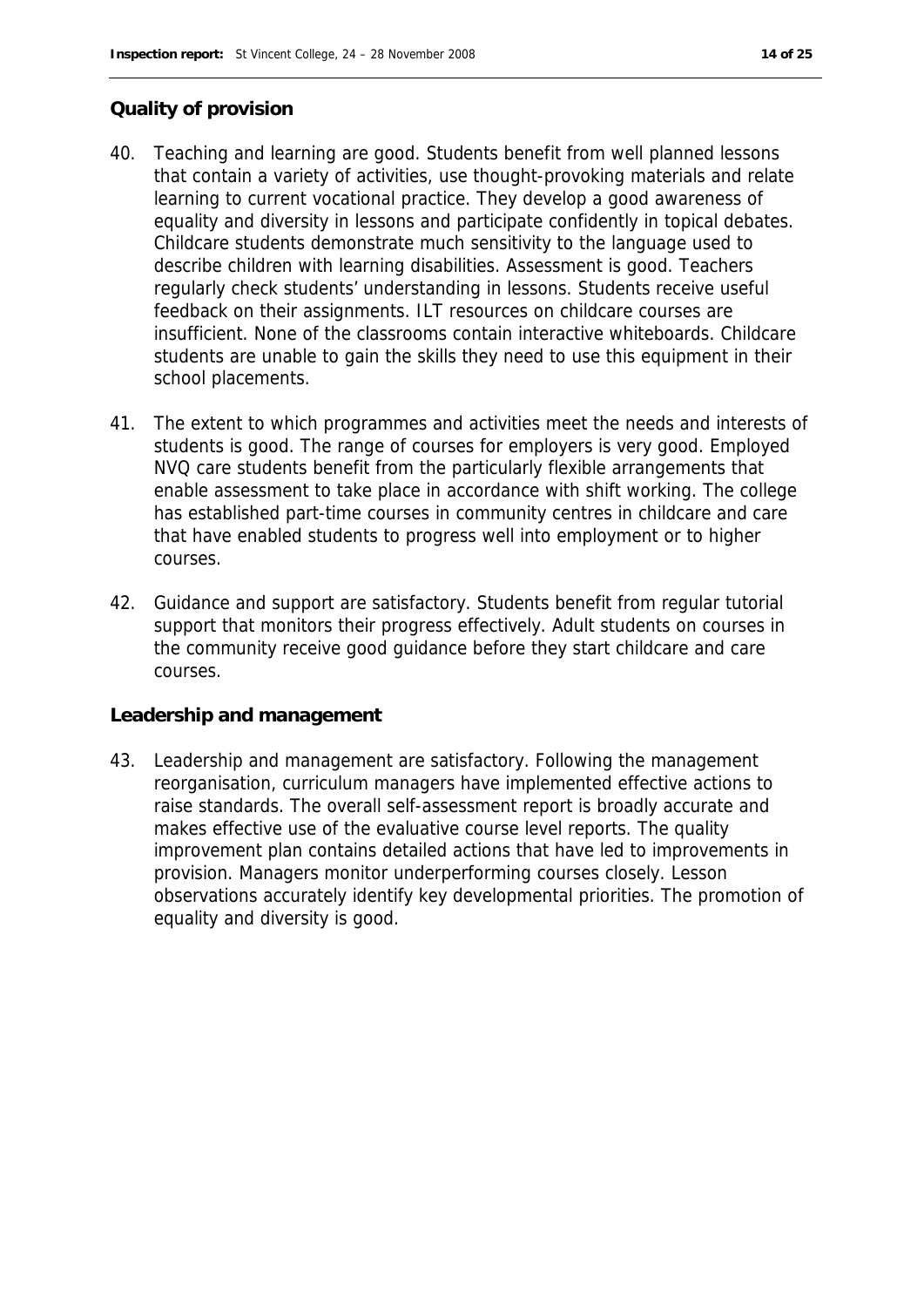#### **Quality of provision**

- 40. Teaching and learning are good. Students benefit from well planned lessons that contain a variety of activities, use thought-provoking materials and relate learning to current vocational practice. They develop a good awareness of equality and diversity in lessons and participate confidently in topical debates. Childcare students demonstrate much sensitivity to the language used to describe children with learning disabilities. Assessment is good. Teachers regularly check students' understanding in lessons. Students receive useful feedback on their assignments. ILT resources on childcare courses are insufficient. None of the classrooms contain interactive whiteboards. Childcare students are unable to gain the skills they need to use this equipment in their school placements.
- 41. The extent to which programmes and activities meet the needs and interests of students is good. The range of courses for employers is very good. Employed NVQ care students benefit from the particularly flexible arrangements that enable assessment to take place in accordance with shift working. The college has established part-time courses in community centres in childcare and care that have enabled students to progress well into employment or to higher courses.
- 42. Guidance and support are satisfactory. Students benefit from regular tutorial support that monitors their progress effectively. Adult students on courses in the community receive good guidance before they start childcare and care courses.

#### **Leadership and management**

43. Leadership and management are satisfactory. Following the management reorganisation, curriculum managers have implemented effective actions to raise standards. The overall self-assessment report is broadly accurate and makes effective use of the evaluative course level reports. The quality improvement plan contains detailed actions that have led to improvements in provision. Managers monitor underperforming courses closely. Lesson observations accurately identify key developmental priorities. The promotion of equality and diversity is good.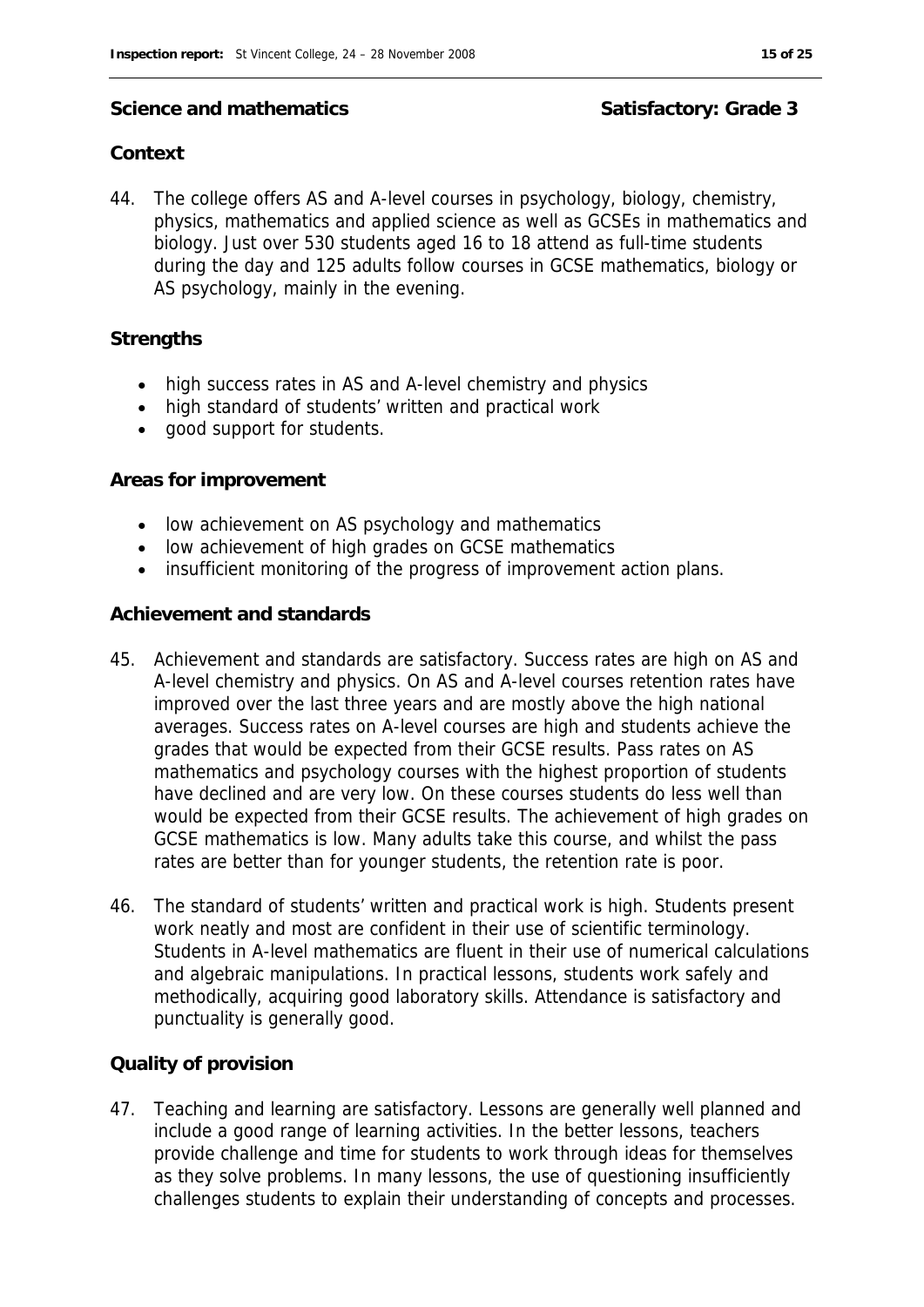#### Science and mathematics **Science and mathematics** Satisfactory: Grade 3

#### **Context**

44. The college offers AS and A-level courses in psychology, biology, chemistry, physics, mathematics and applied science as well as GCSEs in mathematics and biology. Just over 530 students aged 16 to 18 attend as full-time students during the day and 125 adults follow courses in GCSE mathematics, biology or AS psychology, mainly in the evening.

#### **Strengths**

- high success rates in AS and A-level chemistry and physics
- high standard of students' written and practical work
- good support for students.

#### **Areas for improvement**

- low achievement on AS psychology and mathematics
- low achievement of high grades on GCSE mathematics
- insufficient monitoring of the progress of improvement action plans.

#### **Achievement and standards**

- 45. Achievement and standards are satisfactory. Success rates are high on AS and A-level chemistry and physics. On AS and A-level courses retention rates have improved over the last three years and are mostly above the high national averages. Success rates on A-level courses are high and students achieve the grades that would be expected from their GCSE results. Pass rates on AS mathematics and psychology courses with the highest proportion of students have declined and are very low. On these courses students do less well than would be expected from their GCSE results. The achievement of high grades on GCSE mathematics is low. Many adults take this course, and whilst the pass rates are better than for younger students, the retention rate is poor.
- 46. The standard of students' written and practical work is high. Students present work neatly and most are confident in their use of scientific terminology. Students in A-level mathematics are fluent in their use of numerical calculations and algebraic manipulations. In practical lessons, students work safely and methodically, acquiring good laboratory skills. Attendance is satisfactory and punctuality is generally good.

#### **Quality of provision**

47. Teaching and learning are satisfactory. Lessons are generally well planned and include a good range of learning activities. In the better lessons, teachers provide challenge and time for students to work through ideas for themselves as they solve problems. In many lessons, the use of questioning insufficiently challenges students to explain their understanding of concepts and processes.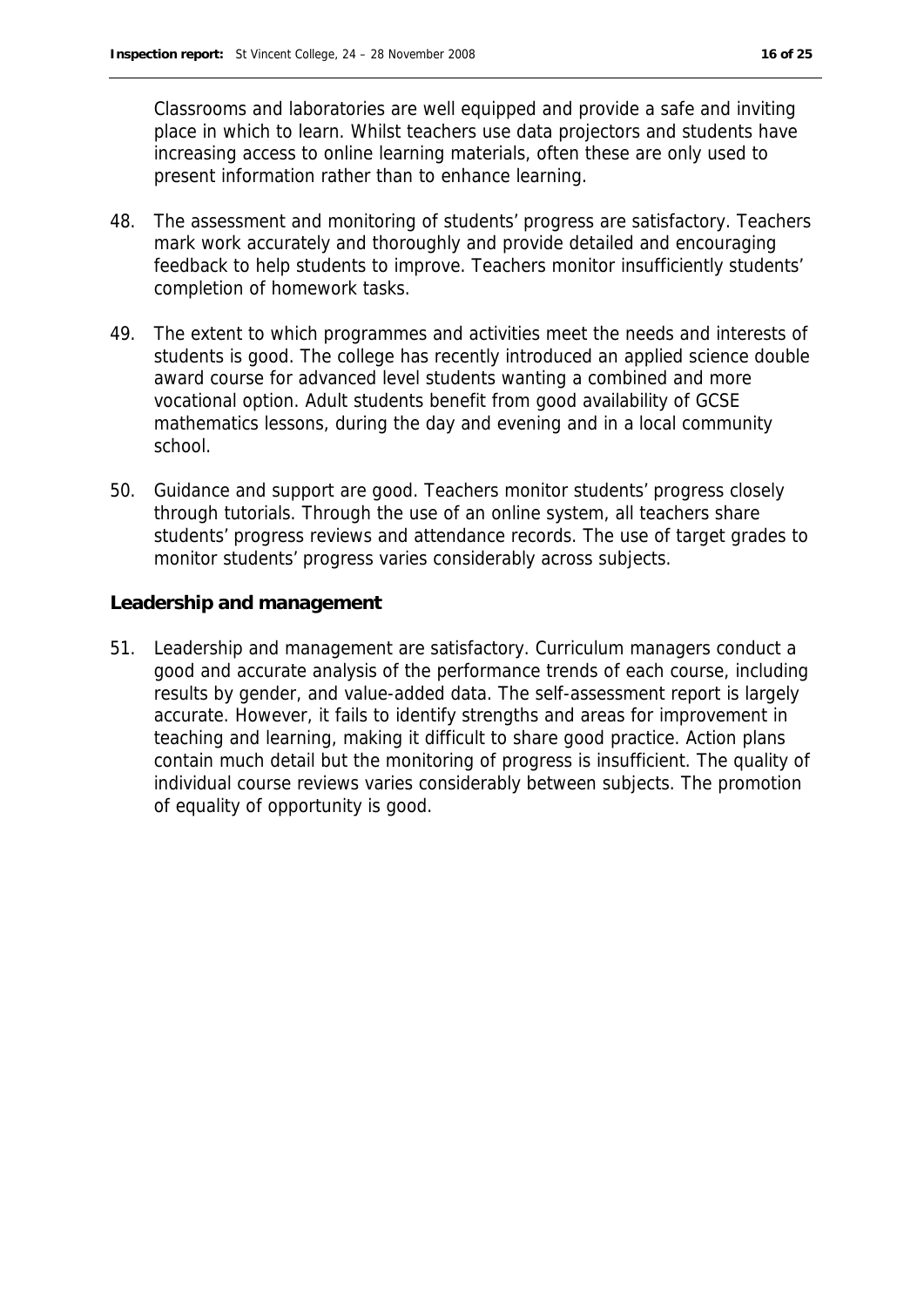Classrooms and laboratories are well equipped and provide a safe and inviting place in which to learn. Whilst teachers use data projectors and students have increasing access to online learning materials, often these are only used to present information rather than to enhance learning.

- 48. The assessment and monitoring of students' progress are satisfactory. Teachers mark work accurately and thoroughly and provide detailed and encouraging feedback to help students to improve. Teachers monitor insufficiently students' completion of homework tasks.
- 49. The extent to which programmes and activities meet the needs and interests of students is good. The college has recently introduced an applied science double award course for advanced level students wanting a combined and more vocational option. Adult students benefit from good availability of GCSE mathematics lessons, during the day and evening and in a local community school.
- 50. Guidance and support are good. Teachers monitor students' progress closely through tutorials. Through the use of an online system, all teachers share students' progress reviews and attendance records. The use of target grades to monitor students' progress varies considerably across subjects.

**Leadership and management**

51. Leadership and management are satisfactory. Curriculum managers conduct a good and accurate analysis of the performance trends of each course, including results by gender, and value-added data. The self-assessment report is largely accurate. However, it fails to identify strengths and areas for improvement in teaching and learning, making it difficult to share good practice. Action plans contain much detail but the monitoring of progress is insufficient. The quality of individual course reviews varies considerably between subjects. The promotion of equality of opportunity is good.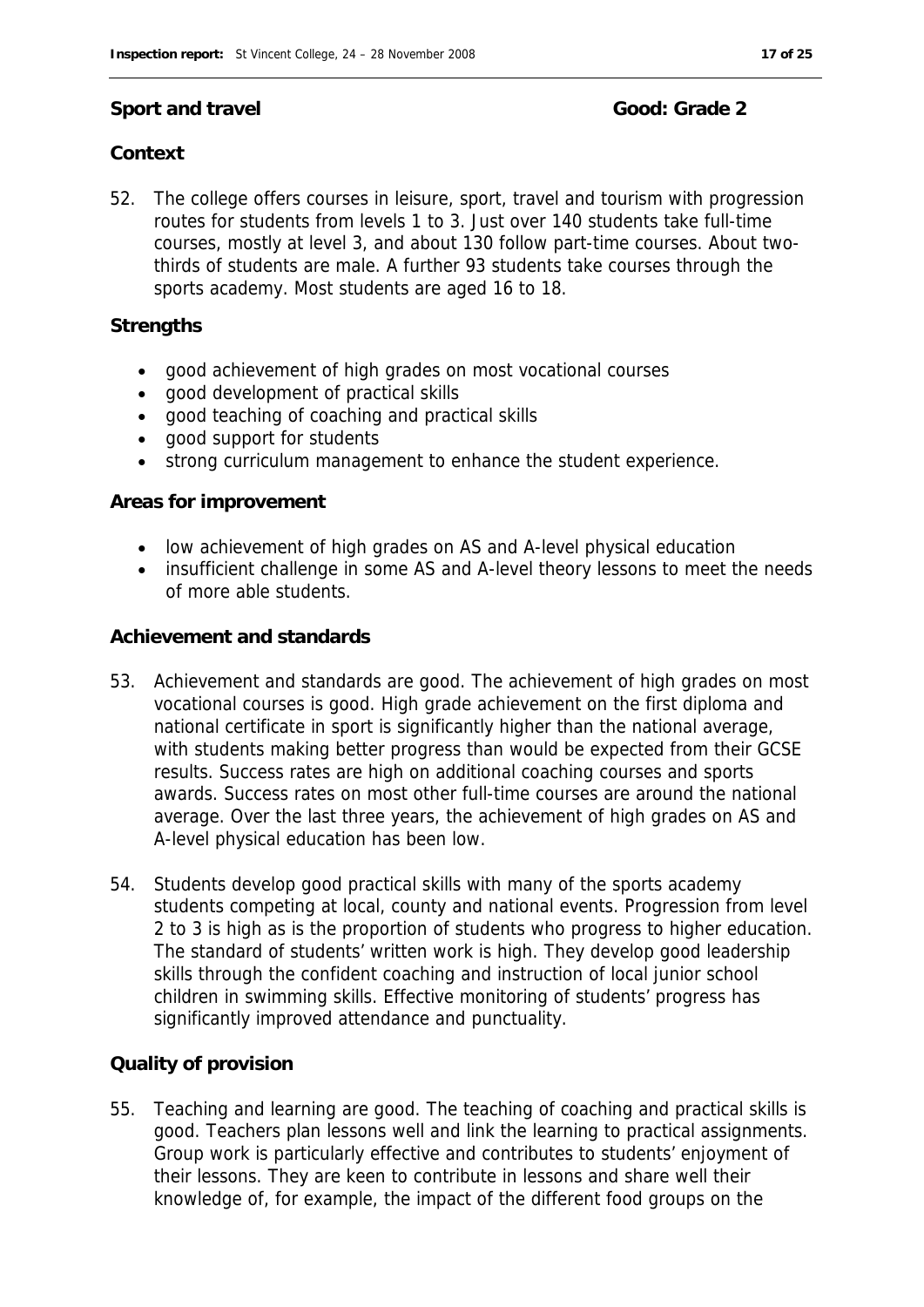#### **Sport and travel Good: Grade 2**

### **Context**

52. The college offers courses in leisure, sport, travel and tourism with progression routes for students from levels 1 to 3. Just over 140 students take full-time courses, mostly at level 3, and about 130 follow part-time courses. About twothirds of students are male. A further 93 students take courses through the sports academy. Most students are aged 16 to 18.

#### **Strengths**

- good achievement of high grades on most vocational courses
- good development of practical skills
- good teaching of coaching and practical skills
- good support for students
- strong curriculum management to enhance the student experience.

#### **Areas for improvement**

- low achievement of high grades on AS and A-level physical education
- insufficient challenge in some AS and A-level theory lessons to meet the needs of more able students.

#### **Achievement and standards**

- 53. Achievement and standards are good. The achievement of high grades on most vocational courses is good. High grade achievement on the first diploma and national certificate in sport is significantly higher than the national average, with students making better progress than would be expected from their GCSE results. Success rates are high on additional coaching courses and sports awards. Success rates on most other full-time courses are around the national average. Over the last three years, the achievement of high grades on AS and A-level physical education has been low.
- 54. Students develop good practical skills with many of the sports academy students competing at local, county and national events. Progression from level 2 to 3 is high as is the proportion of students who progress to higher education. The standard of students' written work is high. They develop good leadership skills through the confident coaching and instruction of local junior school children in swimming skills. Effective monitoring of students' progress has significantly improved attendance and punctuality.

#### **Quality of provision**

55. Teaching and learning are good. The teaching of coaching and practical skills is good. Teachers plan lessons well and link the learning to practical assignments. Group work is particularly effective and contributes to students' enjoyment of their lessons. They are keen to contribute in lessons and share well their knowledge of, for example, the impact of the different food groups on the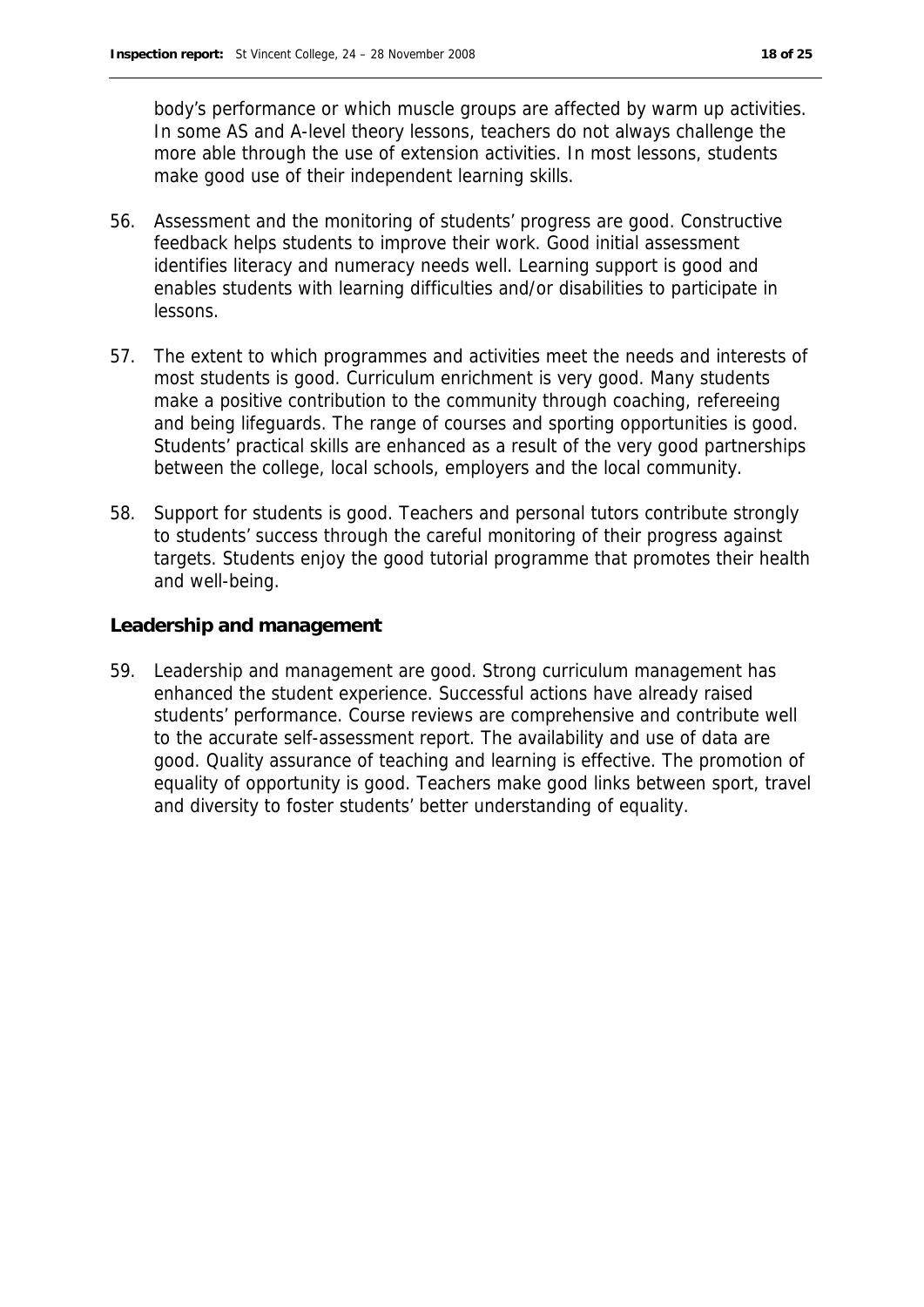body's performance or which muscle groups are affected by warm up activities. In some AS and A-level theory lessons, teachers do not always challenge the more able through the use of extension activities. In most lessons, students make good use of their independent learning skills.

- 56. Assessment and the monitoring of students' progress are good. Constructive feedback helps students to improve their work. Good initial assessment identifies literacy and numeracy needs well. Learning support is good and enables students with learning difficulties and/or disabilities to participate in lessons.
- 57. The extent to which programmes and activities meet the needs and interests of most students is good. Curriculum enrichment is very good. Many students make a positive contribution to the community through coaching, refereeing and being lifeguards. The range of courses and sporting opportunities is good. Students' practical skills are enhanced as a result of the very good partnerships between the college, local schools, employers and the local community.
- 58. Support for students is good. Teachers and personal tutors contribute strongly to students' success through the careful monitoring of their progress against targets. Students enjoy the good tutorial programme that promotes their health and well-being.

**Leadership and management**

59. Leadership and management are good. Strong curriculum management has enhanced the student experience. Successful actions have already raised students' performance. Course reviews are comprehensive and contribute well to the accurate self-assessment report. The availability and use of data are good. Quality assurance of teaching and learning is effective. The promotion of equality of opportunity is good. Teachers make good links between sport, travel and diversity to foster students' better understanding of equality.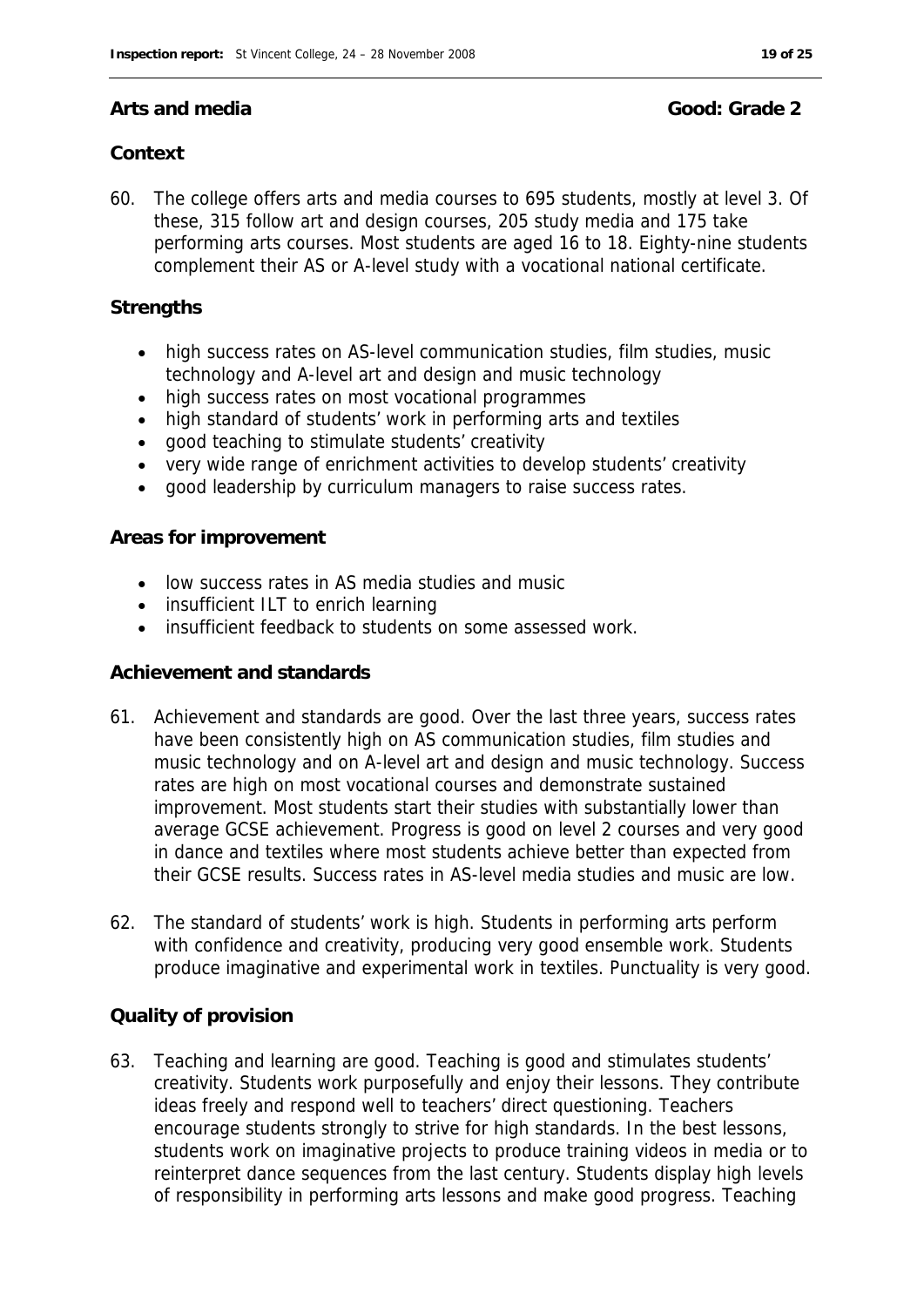#### **Arts and media Good: Grade 2**

### **Context**

60. The college offers arts and media courses to 695 students, mostly at level 3. Of these, 315 follow art and design courses, 205 study media and 175 take performing arts courses. Most students are aged 16 to 18. Eighty-nine students complement their AS or A-level study with a vocational national certificate.

#### **Strengths**

- high success rates on AS-level communication studies, film studies, music technology and A-level art and design and music technology
- high success rates on most vocational programmes
- high standard of students' work in performing arts and textiles
- good teaching to stimulate students' creativity
- very wide range of enrichment activities to develop students' creativity
- good leadership by curriculum managers to raise success rates.

#### **Areas for improvement**

- low success rates in AS media studies and music
- insufficient ILT to enrich learning
- insufficient feedback to students on some assessed work.

#### **Achievement and standards**

- 61. Achievement and standards are good. Over the last three years, success rates have been consistently high on AS communication studies, film studies and music technology and on A-level art and design and music technology. Success rates are high on most vocational courses and demonstrate sustained improvement. Most students start their studies with substantially lower than average GCSE achievement. Progress is good on level 2 courses and very good in dance and textiles where most students achieve better than expected from their GCSE results. Success rates in AS-level media studies and music are low.
- 62. The standard of students' work is high. Students in performing arts perform with confidence and creativity, producing very good ensemble work. Students produce imaginative and experimental work in textiles. Punctuality is very good.

#### **Quality of provision**

63. Teaching and learning are good. Teaching is good and stimulates students' creativity. Students work purposefully and enjoy their lessons. They contribute ideas freely and respond well to teachers' direct questioning. Teachers encourage students strongly to strive for high standards. In the best lessons, students work on imaginative projects to produce training videos in media or to reinterpret dance sequences from the last century. Students display high levels of responsibility in performing arts lessons and make good progress. Teaching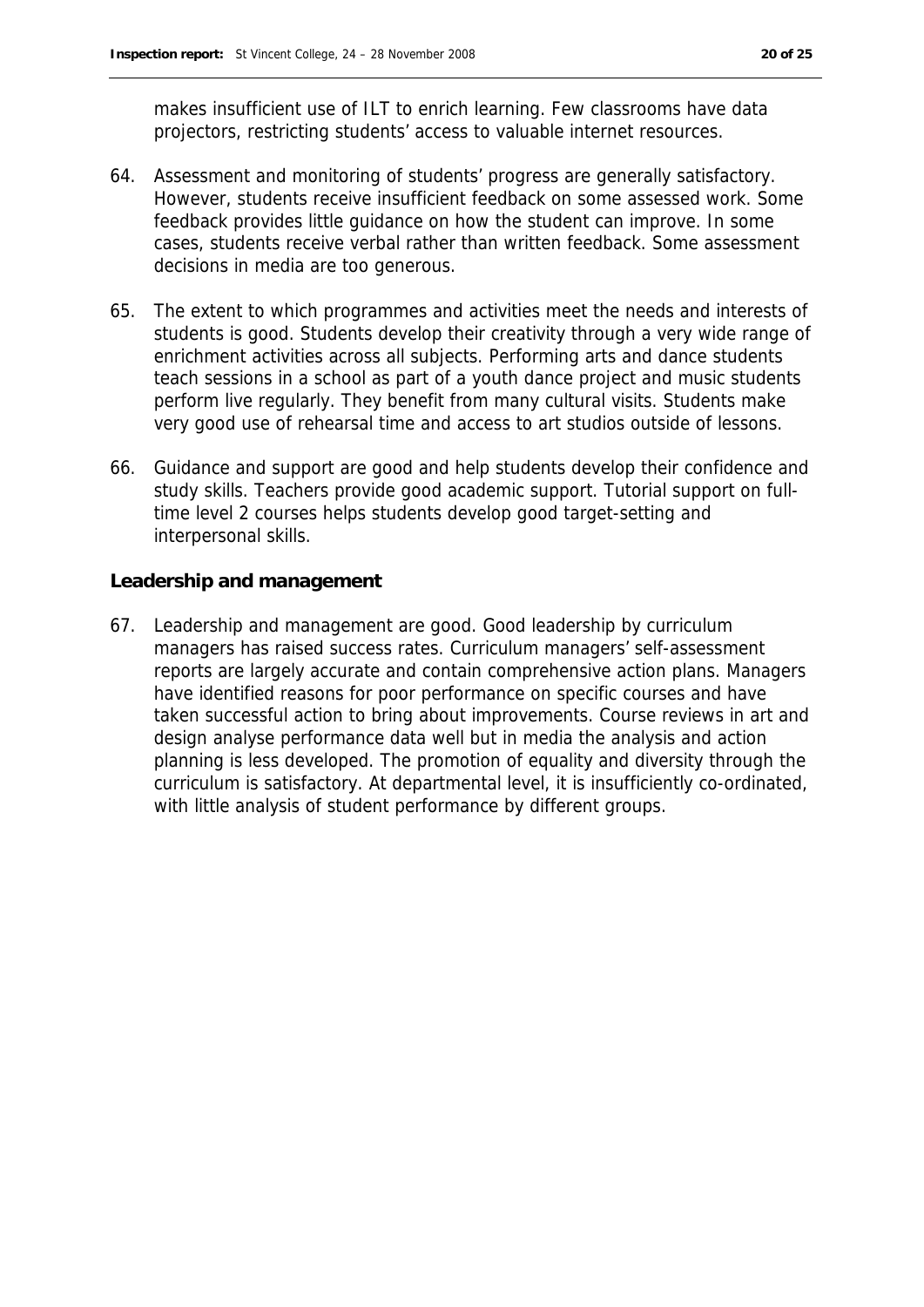makes insufficient use of ILT to enrich learning. Few classrooms have data projectors, restricting students' access to valuable internet resources.

- 64. Assessment and monitoring of students' progress are generally satisfactory. However, students receive insufficient feedback on some assessed work. Some feedback provides little guidance on how the student can improve. In some cases, students receive verbal rather than written feedback. Some assessment decisions in media are too generous.
- 65. The extent to which programmes and activities meet the needs and interests of students is good. Students develop their creativity through a very wide range of enrichment activities across all subjects. Performing arts and dance students teach sessions in a school as part of a youth dance project and music students perform live regularly. They benefit from many cultural visits. Students make very good use of rehearsal time and access to art studios outside of lessons.
- 66. Guidance and support are good and help students develop their confidence and study skills. Teachers provide good academic support. Tutorial support on fulltime level 2 courses helps students develop good target-setting and interpersonal skills.

**Leadership and management**

67. Leadership and management are good. Good leadership by curriculum managers has raised success rates. Curriculum managers' self-assessment reports are largely accurate and contain comprehensive action plans. Managers have identified reasons for poor performance on specific courses and have taken successful action to bring about improvements. Course reviews in art and design analyse performance data well but in media the analysis and action planning is less developed. The promotion of equality and diversity through the curriculum is satisfactory. At departmental level, it is insufficiently co-ordinated, with little analysis of student performance by different groups.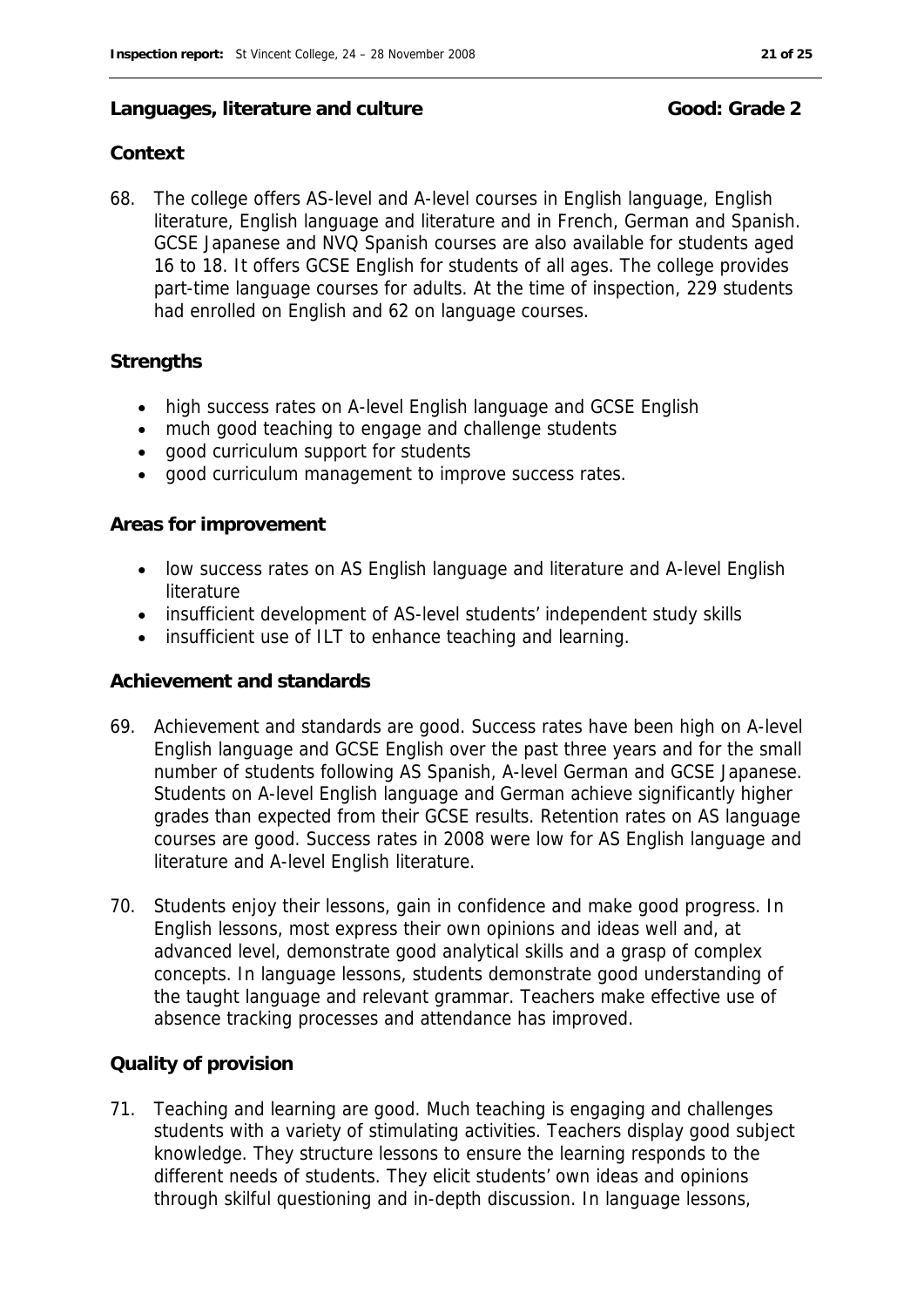#### Languages, literature and culture **Good:** Good: Grade 2

#### **Context**

68. The college offers AS-level and A-level courses in English language, English literature, English language and literature and in French, German and Spanish. GCSE Japanese and NVQ Spanish courses are also available for students aged 16 to 18. It offers GCSE English for students of all ages. The college provides part-time language courses for adults. At the time of inspection, 229 students had enrolled on English and 62 on language courses.

#### **Strengths**

- high success rates on A-level English language and GCSE English
- much good teaching to engage and challenge students
- good curriculum support for students
- good curriculum management to improve success rates.

#### **Areas for improvement**

- low success rates on AS English language and literature and A-level English literature
- insufficient development of AS-level students' independent study skills
- insufficient use of ILT to enhance teaching and learning.

#### **Achievement and standards**

- 69. Achievement and standards are good. Success rates have been high on A-level English language and GCSE English over the past three years and for the small number of students following AS Spanish, A-level German and GCSE Japanese. Students on A-level English language and German achieve significantly higher grades than expected from their GCSE results. Retention rates on AS language courses are good. Success rates in 2008 were low for AS English language and literature and A-level English literature.
- 70. Students enjoy their lessons, gain in confidence and make good progress. In English lessons, most express their own opinions and ideas well and, at advanced level, demonstrate good analytical skills and a grasp of complex concepts. In language lessons, students demonstrate good understanding of the taught language and relevant grammar. Teachers make effective use of absence tracking processes and attendance has improved.

#### **Quality of provision**

71. Teaching and learning are good. Much teaching is engaging and challenges students with a variety of stimulating activities. Teachers display good subject knowledge. They structure lessons to ensure the learning responds to the different needs of students. They elicit students' own ideas and opinions through skilful questioning and in-depth discussion. In language lessons,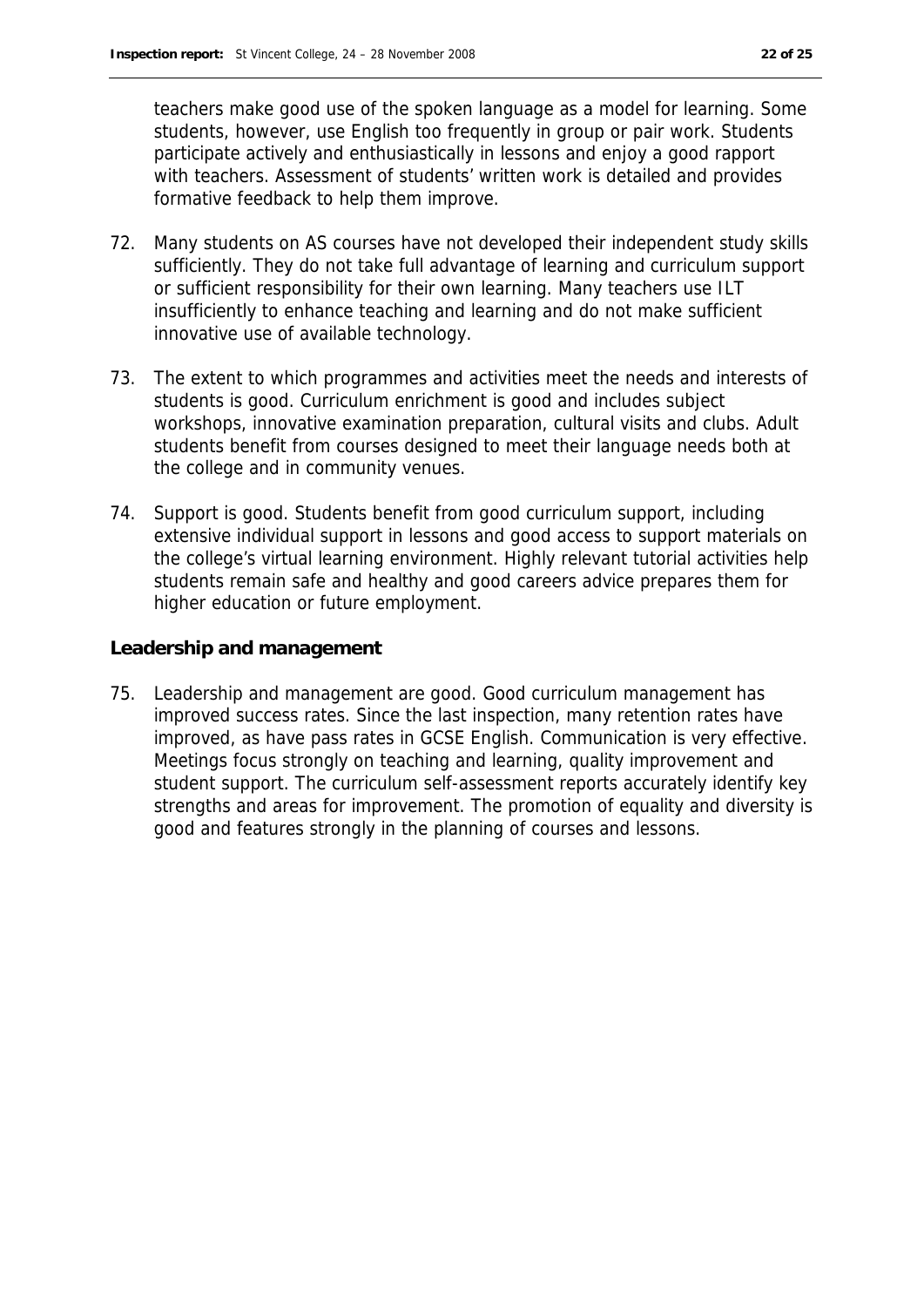teachers make good use of the spoken language as a model for learning. Some students, however, use English too frequently in group or pair work. Students participate actively and enthusiastically in lessons and enjoy a good rapport with teachers. Assessment of students' written work is detailed and provides formative feedback to help them improve.

- 72. Many students on AS courses have not developed their independent study skills sufficiently. They do not take full advantage of learning and curriculum support or sufficient responsibility for their own learning. Many teachers use ILT insufficiently to enhance teaching and learning and do not make sufficient innovative use of available technology.
- 73. The extent to which programmes and activities meet the needs and interests of students is good. Curriculum enrichment is good and includes subject workshops, innovative examination preparation, cultural visits and clubs. Adult students benefit from courses designed to meet their language needs both at the college and in community venues.
- 74. Support is good. Students benefit from good curriculum support, including extensive individual support in lessons and good access to support materials on the college's virtual learning environment. Highly relevant tutorial activities help students remain safe and healthy and good careers advice prepares them for higher education or future employment.

**Leadership and management**

75. Leadership and management are good. Good curriculum management has improved success rates. Since the last inspection, many retention rates have improved, as have pass rates in GCSE English. Communication is very effective. Meetings focus strongly on teaching and learning, quality improvement and student support. The curriculum self-assessment reports accurately identify key strengths and areas for improvement. The promotion of equality and diversity is good and features strongly in the planning of courses and lessons.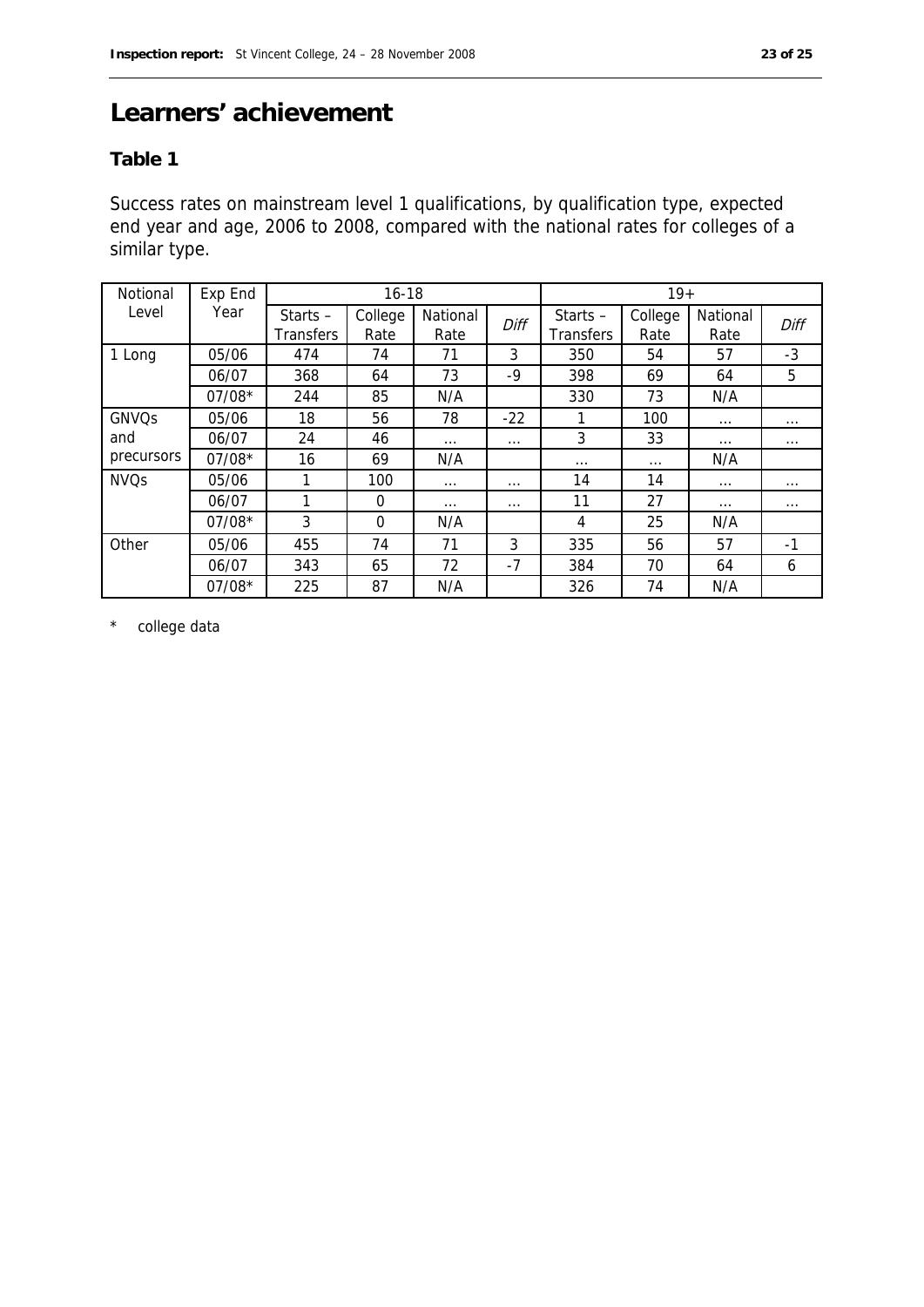## **Learners' achievement**

#### **Table 1**

Success rates on mainstream level 1 qualifications, by qualification type, expected end year and age, 2006 to 2008, compared with the national rates for colleges of a similar type.

| Notional          | Exp End  | $16 - 18$                      |                 |                  |          | $19+$                   |                 |                  |          |
|-------------------|----------|--------------------------------|-----------------|------------------|----------|-------------------------|-----------------|------------------|----------|
| Level             | Year     | Starts $-$<br><b>Transfers</b> | College<br>Rate | National<br>Rate | Diff     | Starts $-$<br>Transfers | College<br>Rate | National<br>Rate | Diff     |
| 1 Long            | 05/06    | 474                            | 74              | 71               | 3        | 350                     | 54              | 57               | $-3$     |
|                   | 06/07    | 368                            | 64              | 73               | $-9$     | 398                     | 69              | 64               | 5        |
|                   | $07/08*$ | 244                            | 85              | N/A              |          | 330                     | 73              | N/A              |          |
| GNVQs             | 05/06    | 18                             | 56              | 78               | $-22$    | 1                       | 100             | $\cdots$         | $\cdots$ |
| and<br>precursors | 06/07    | 24                             | 46              | $\cdots$         | $\cdots$ | 3                       | 33              | $\cdots$         | $\cdots$ |
|                   | $07/08*$ | 16                             | 69              | N/A              |          | $\cdots$                | $\cdots$        | N/A              |          |
| <b>NVQs</b>       | 05/06    | 1                              | 100             | $\cdots$         | $\cdots$ | 14                      | 14              | $\cdots$         | $\cdots$ |
|                   | 06/07    |                                | $\Omega$        | $\cdots$         | $\cdots$ | 11                      | 27              | $\cdots$         | $\cdots$ |
|                   | $07/08*$ | 3                              | $\Omega$        | N/A              |          | 4                       | 25              | N/A              |          |
| Other             | 05/06    | 455                            | 74              | 71               | 3        | 335                     | 56              | 57               | $-1$     |
|                   | 06/07    | 343                            | 65              | 72               | $-7$     | 384                     | 70              | 64               | 6        |
|                   | $07/08*$ | 225                            | 87              | N/A              |          | 326                     | 74              | N/A              |          |

\* college data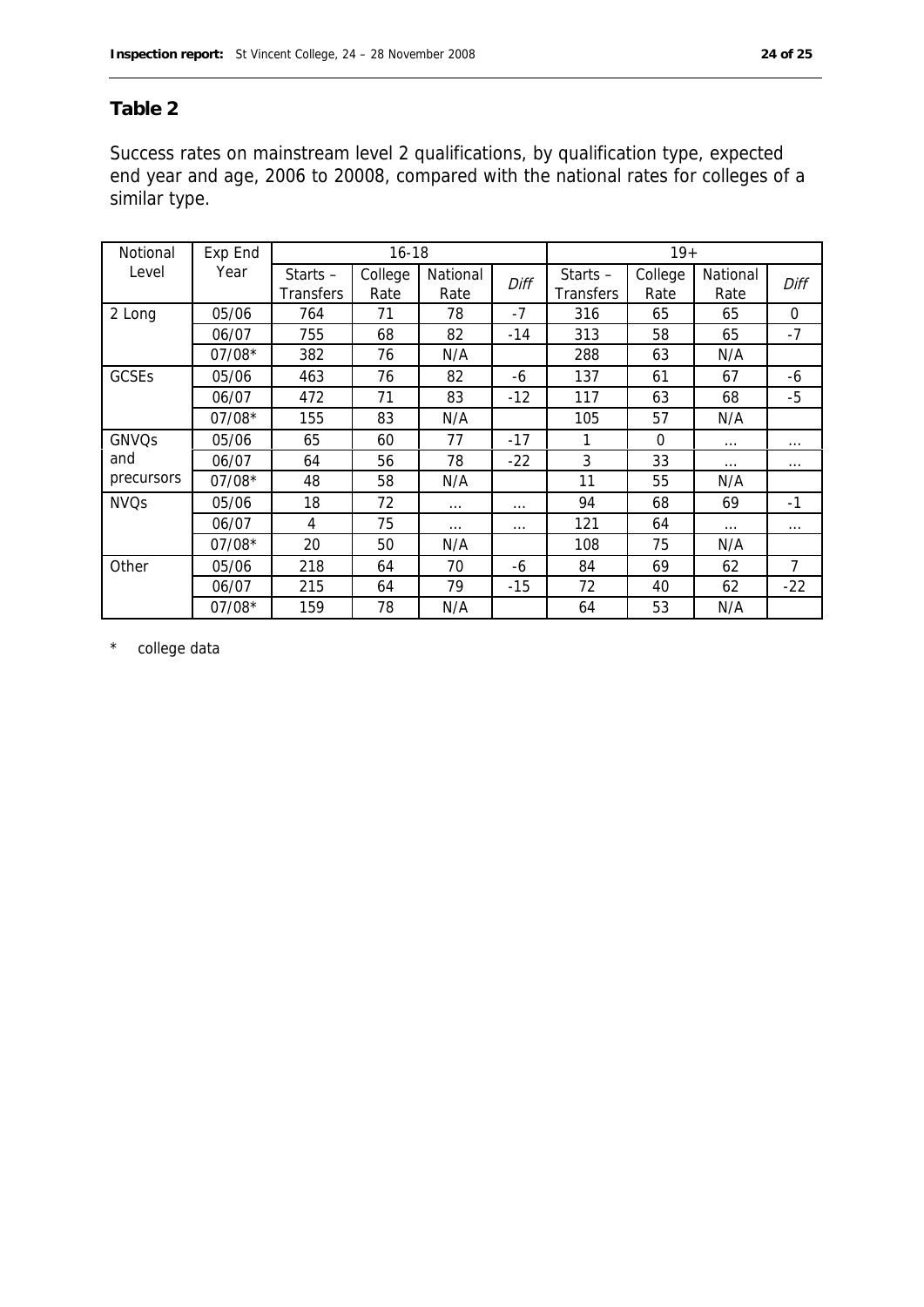#### **Table 2**

Success rates on mainstream level 2 qualifications, by qualification type, expected end year and age, 2006 to 20008, compared with the national rates for colleges of a similar type.

| Notional    | Exp End  | $16 - 18$                      |                 |                  |          | $19+$                          |                 |                  |                |
|-------------|----------|--------------------------------|-----------------|------------------|----------|--------------------------------|-----------------|------------------|----------------|
| Level       | Year     | Starts $-$<br><b>Transfers</b> | College<br>Rate | National<br>Rate | Diff     | Starts $-$<br><b>Transfers</b> | College<br>Rate | National<br>Rate | Diff           |
| 2 Long      | 05/06    | 764                            | 71              | 78               | $-7$     | 316                            | 65              | 65               | $\Omega$       |
|             | 06/07    | 755                            | 68              | 82               | $-14$    | 313                            | 58              | 65               | $-7$           |
|             | $07/08*$ | 382                            | 76              | N/A              |          | 288                            | 63              | N/A              |                |
| GCSEs       | 05/06    | 463                            | 76              | 82               | -6       | 137                            | 61              | 67               | -6             |
|             | 06/07    | 472                            | 71              | 83               | $-12$    | 117                            | 63              | 68               | $-5$           |
|             | $07/08*$ | 155                            | 83              | N/A              |          | 105                            | 57              | N/A              |                |
| GNVQs       | 05/06    | 65                             | 60              | 77               | $-17$    | 1                              | 0               | $\cdots$         | $\cdots$       |
| and         | 06/07    | 64                             | 56              | 78               | $-22$    | 3                              | 33              | $\cdots$         | $\cdots$       |
| precursors  | $07/08*$ | 48                             | 58              | N/A              |          | 11                             | 55              | N/A              |                |
| <b>NVQs</b> | 05/06    | 18                             | 72              | $\cdots$         | $\cdots$ | 94                             | 68              | 69               | $-1$           |
|             | 06/07    | 4                              | 75              | $\cdots$         | $\cdots$ | 121                            | 64              | $\ldots$         | $\cdots$       |
|             | $07/08*$ | 20                             | 50              | N/A              |          | 108                            | 75              | N/A              |                |
| Other       | 05/06    | 218                            | 64              | 70               | -6       | 84                             | 69              | 62               | $\overline{7}$ |
|             | 06/07    | 215                            | 64              | 79               | $-15$    | 72                             | 40              | 62               | $-22$          |
|             | $07/08*$ | 159                            | 78              | N/A              |          | 64                             | 53              | N/A              |                |

\* college data